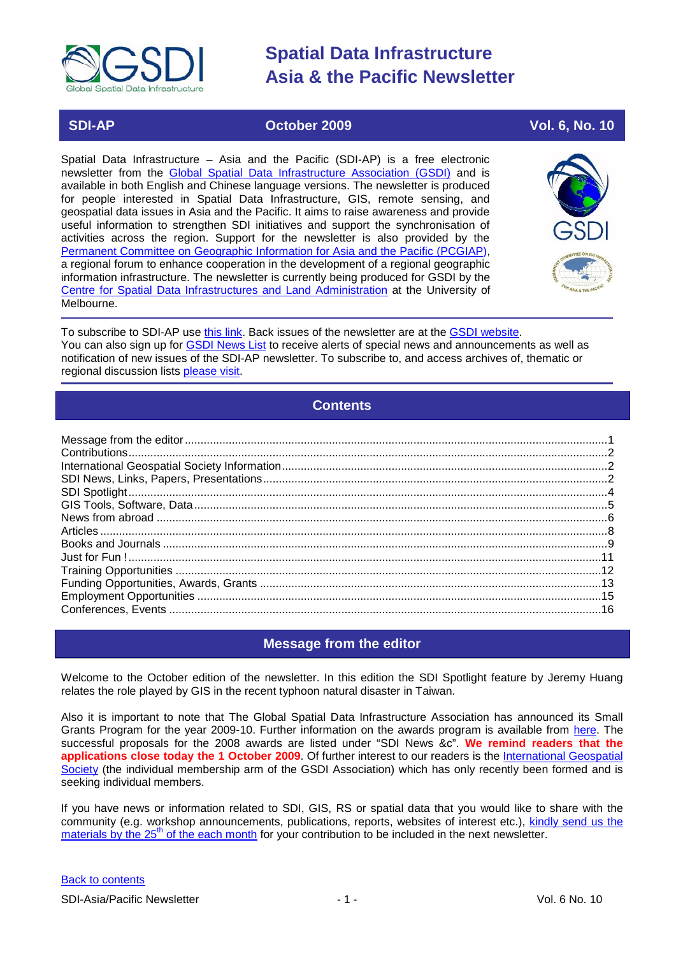

# **SDI-AP October 2009 Vol. 6, No. 10**

Spatial Data Infrastructure – Asia and the Pacific (SDI-AP) is a free electronic newsletter from the [Global Spatial Data Infrastructure Association \(GSDI\)](http://www.gsdi.org/) and is available in both English and Chinese language versions. The newsletter is produced for people interested in Spatial Data Infrastructure, GIS, remote sensing, and geospatial data issues in Asia and the Pacific. It aims to raise awareness and provide useful information to strengthen SDI initiatives and support the synchronisation of activities across the region. Support for the newsletter is also provided by the [Permanent Committee on Geographic Information for Asia and the Pacific \(PCGIAP\)](http://www.pcgiap.org/), a regional forum to enhance cooperation in the development of a regional geographic information infrastructure. The newsletter is currently being produced for GSDI by the [Centre for Spatial Data Infrastructures and Land Administration](http://www.csdila.unimelb.edu.au/) at the University of Melbourne.



To subscribe to SDI-AP use [this link.](http://www.gsdi.org/newslist/gsdisubscribe.asp) Back issues of the newsletter are at the [GSDI website.](http://www.gsdi.org/newsletters.asp) You can also sign up for **GSDI News List** to receive alerts of special news and announcements as well as notification of new issues of the SDI-AP newsletter. To subscribe to, and access archives of, thematic or regional discussion lists [please visit.](http://www.gsdi.org/discussionlists.asp)

# **Contents**

<span id="page-0-0"></span>

# **Message from the editor**

<span id="page-0-1"></span>Welcome to the October edition of the newsletter. In this edition the SDI Spotlight feature by Jeremy Huang relates the role played by GIS in the recent typhoon natural disaster in Taiwan.

Also it is important to note that The Global Spatial Data Infrastructure Association has announced its Small Grants Program for the year 2009-10. Further information on the awards program is available from [here.](http://www.gsdi.org/newslist/posts/newspostpage.php?PK_ID=152) The successful proposals for the 2008 awards are listed under "SDI News &c". **We remind readers that the applications close today the 1 October 2009**. Of further interest to our readers is the [International Geospatial](http://www.igeoss.org/)  [Society](http://www.igeoss.org/) (the individual membership arm of the GSDI Association) which has only recently been formed and is seeking individual members.

If you have news or information related to SDI, GIS, RS or spatial data that you would like to share with the community (e.g. workshop announcements, publications, reports, websites of interest etc.), [kindly send us](mailto:sdi-ap@gsdi.org) the materials by the  $25<sup>th</sup>$  of the each month for your contribution to be included in the next newsletter.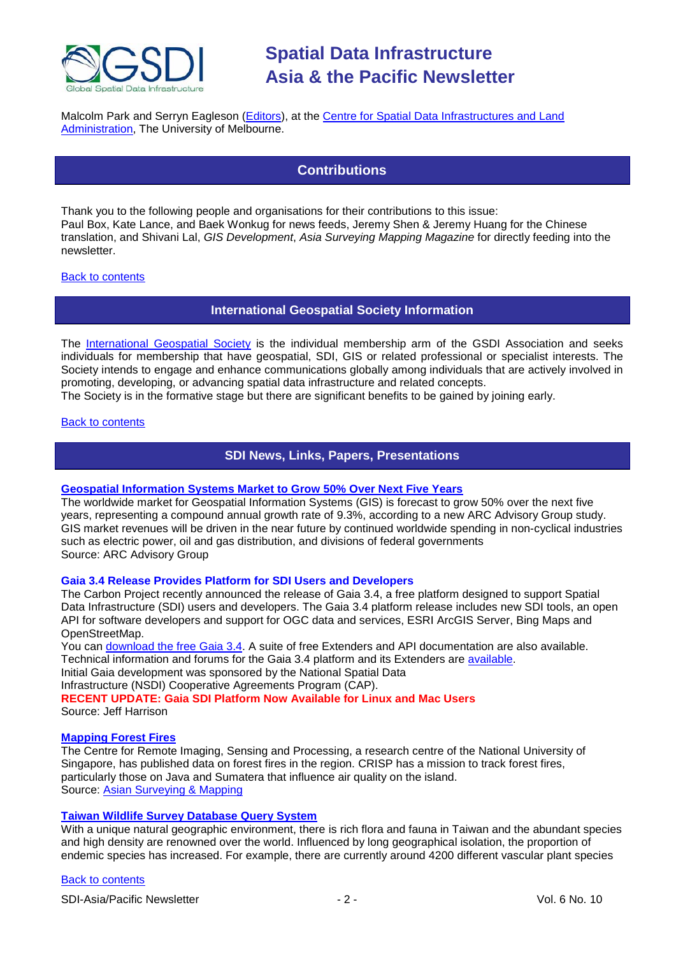

<span id="page-1-0"></span>Malcolm Park and Serryn Eagleson [\(Editors\)](mailto:Editor.SDIAP@gmail.com), at the [Centre for Spatial Data Infrastructures and Land](http://www.csdila.unimelb.edu.au/)  [Administration,](http://www.csdila.unimelb.edu.au/) The University of Melbourne.

# **Contributions**

Thank you to the following people and organisations for their contributions to this issue: Paul Box, Kate Lance, and Baek Wonkug for news feeds, Jeremy Shen & Jeremy Huang for the Chinese translation, and Shivani Lal, *GIS Development*, *Asia Surveying Mapping Magazine* for directly feeding into the newsletter.

# <span id="page-1-1"></span>[Back to contents](#page-0-0)

# **International Geospatial Society Information**

The [International Geospatial Society](http://www.igeoss.org/) is the individual membership arm of the GSDI Association and seeks individuals for membership that have geospatial, SDI, GIS or related professional or specialist interests. The Society intends to engage and enhance communications globally among individuals that are actively involved in promoting, developing, or advancing spatial data infrastructure and related concepts.

The Society is in the formative stage but there are significant benefits to be gained by joining early.

# <span id="page-1-2"></span>**[Back to contents](#page-0-0)**

# **SDI News, Links, Papers, Presentations**

# **[Geospatial Information Systems Market to Grow 50% Over Next Five Years](http://www.arcweb.com/AboutARC/Press/Lists/Posts/Post.aspx?ID=111)**

The worldwide market for Geospatial Information Systems (GIS) is forecast to grow 50% over the next five years, representing a compound annual growth rate of 9.3%, according to a new ARC Advisory Group study. GIS market revenues will be driven in the near future by continued worldwide spending in non-cyclical industries such as electric power, oil and gas distribution, and divisions of federal governments Source: ARC Advisory Group

# **Gaia 3.4 Release Provides Platform for SDI Users and Developers**

The Carbon Project recently announced the release of Gaia 3.4, a free platform designed to support Spatial Data Infrastructure (SDI) users and developers. The Gaia 3.4 platform release includes new SDI tools, an open API for software developers and support for OGC data and services, ESRI ArcGIS Server, Bing Maps and OpenStreetMap.

You can [download the free Gaia 3.4.](http://www.thecarbonproject.com/gaia.php) A suite of free Extenders and API documentation are also available. Technical information and forums for the Gaia 3.4 platform and its Extenders are [available.](http://www.thecarbonportal.net/) Initial Gaia development was sponsored by the National Spatial Data Infrastructure (NSDI) Cooperative Agreements Program (CAP). **RECENT UPDATE: Gaia SDI Platform Now Available for Linux and Mac Users** Source: Jeff Harrison

# **[Mapping Forest Fires](http://www.crisp.nus.edu.sg/coverages/fires2009/index.html)**

The Centre for Remote Imaging, Sensing and Processing, a research centre of the National University of Singapore, has published data on forest fires in the region. CRISP has a mission to track forest fires, particularly those on Java and Sumatera that influence air quality on the island. Source: [Asian Surveying & Mapping](http://www.asmmag.com/news)

# **[Taiwan Wildlife Survey Database Query System](http://www.supergeotek.com/Library_2_200908.aspx)**

With a unique natural geographic environment, there is rich flora and fauna in Taiwan and the abundant species and high density are renowned over the world. Influenced by long geographical isolation, the proportion of endemic species has increased. For example, there are currently around 4200 different vascular plant species

# [Back to contents](#page-0-0)

SDI-Asia/Pacific Newsletter  $\sim$  2 - 2 - Vol. 6 No. 10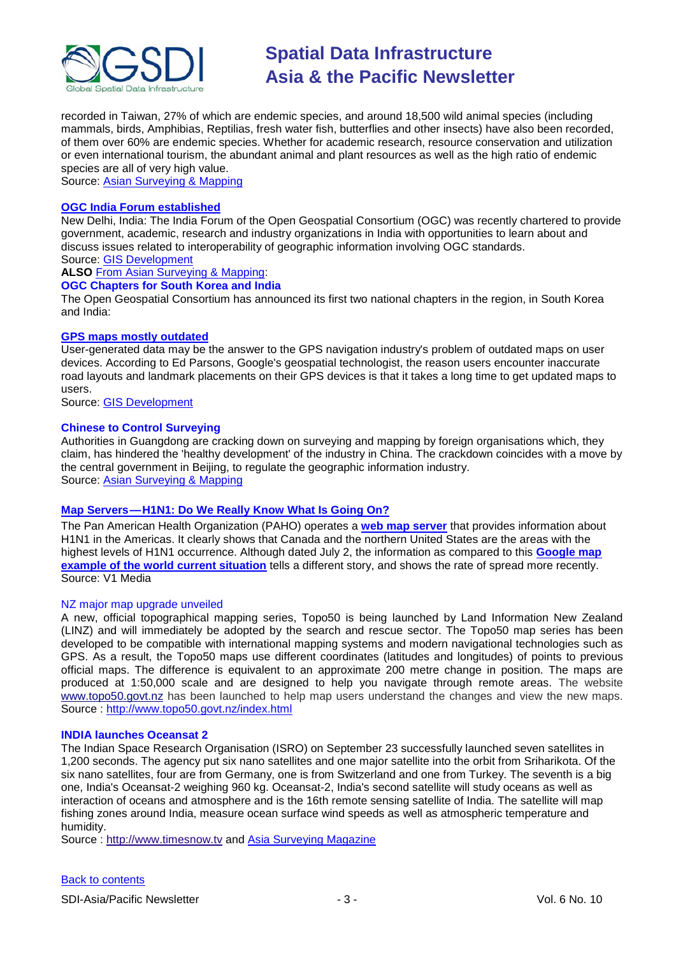

recorded in Taiwan, 27% of which are endemic species, and around 18,500 wild animal species (including mammals, birds, Amphibias, Reptilias, fresh water fish, butterflies and other insects) have also been recorded, of them over 60% are endemic species. Whether for academic research, resource conservation and utilization or even international tourism, the abundant animal and plant resources as well as the high ratio of endemic species are all of very high value.

Source: [Asian Surveying & Mapping](http://www.asmmag.com/news)

# **[OGC India Forum established](http://www.opengeospatial.org/pressroom/pressreleases/1083)**

New Delhi, India: The India Forum of the Open Geospatial Consortium (OGC) was recently chartered to provide government, academic, research and industry organizations in India with opportunities to learn about and discuss issues related to interoperability of geographic information involving OGC standards. Source: [GIS Development](http://www.gisdevelopment.net/news/viewn.asp?id=GIS:N_bwmvngkuet&Ezine=sep0709§ion=News)

**ALSO** [From Asian Surveying & Mapping:](http://www.asmmag.com/news/ogc-chapters-for-south-korea-and-india)

# **OGC Chapters for South Korea and India**

The Open Geospatial Consortium has announced its first two national chapters in the region, in South Korea and India:

# **[GPS maps mostly outdated](http://news.zdnet.co.uk/0,1000000073,39738004,00.htm)**

User-generated data may be the answer to the GPS navigation industry's problem of outdated maps on user devices. According to Ed Parsons, Google's geospatial technologist, the reason users encounter inaccurate road layouts and landmark placements on their GPS devices is that it takes a long time to get updated maps to users.

Source: [GIS Development](http://www.gisdevelopment.net/news/viewn.asp?id=GIS:N_hcvmpadqtb&Ezine=sep0709§ion=News)

# **[Chinese to Control Surveying](http://www.asmmag.com/news/chinese-to-control-surveying)**

Authorities in Guangdong are cracking down on surveying and mapping by foreign organisations which, they claim, has hindered the 'healthy development' of the industry in China. The crackdown coincides with a move by the central government in Beijing, to regulate the geographic information industry. Source: [Asian Surveying & Mapping](http://www.asmmag.com/news/chinese-to-control-surveying)

# **Map Servers — [H1N1: Do We Really Know What Is Going On?](http://vector1media.com/vectorone/?p=3538)**

The Pan American Health Organization (PAHO) operates a **[web map server](http://ais.paho.org/flu/sm/en/atlas.html)** that provides information about H1N1 in the Americas. It clearly shows that Canada and the northern United States are the areas with the highest levels of H1N1 occurrence. Although dated July 2, the information as compared to this **[Google map](http://maps.google.com/maps/ms?ie=UTF8&hl=en&msa=0&msid=109496610648025582911.0004686892fbefe515012&source=embed&ll=50.847573,9.448242&spn=19.467162,37.353516&z=4)  [example of the world current situation](http://maps.google.com/maps/ms?ie=UTF8&hl=en&msa=0&msid=109496610648025582911.0004686892fbefe515012&source=embed&ll=50.847573,9.448242&spn=19.467162,37.353516&z=4)** tells a different story, and shows the rate of spread more recently. Source: V1 Media

# NZ major map upgrade unveiled

A new, official topographical mapping series, Topo50 is being launched by Land Information New Zealand (LINZ) and will immediately be adopted by the search and rescue sector. The Topo50 map series has been developed to be compatible with international mapping systems and modern navigational technologies such as GPS. As a result, the Topo50 maps use different coordinates (latitudes and longitudes) of points to previous official maps. The difference is equivalent to an approximate 200 metre change in position. The maps are produced at 1:50,000 scale and are designed to help you navigate through remote areas. The website [www.topo50.govt.nz](http://www.topo50.govt.nz/) has been launched to help map users understand the changes and view the new maps. Source :<http://www.topo50.govt.nz/index.html>

#### **INDIA launches Oceansat 2**

The Indian Space Research Organisation (ISRO) on September 23 successfully launched seven satellites in 1,200 seconds. The agency put six nano satellites and one major satellite into the orbit from Sriharikota. Of the six nano satellites, four are from Germany, one is from Switzerland and one from Turkey. The seventh is a big one, India's Oceansat-2 weighing 960 kg. Oceansat-2, India's second satellite will study oceans as well as interaction of oceans and atmosphere and is the 16th remote sensing satellite of India. The satellite will map fishing zones around India, measure ocean surface wind speeds as well as atmospheric temperature and humidity.

Source : [http://www.timesnow.tv](http://www.timesnow.tv/ISRO-successfully-launches-7-satellites/articleshow/4328006.cms) and [Asia Surveying Magazine](http://www.asmmag.com/features/oceansat-2)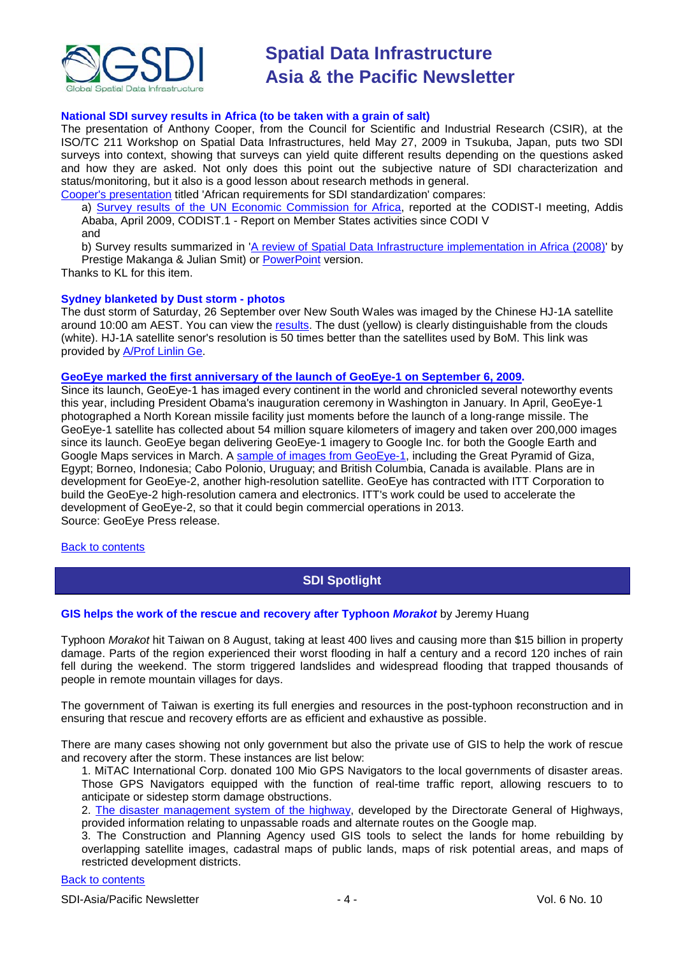

# **National SDI survey results in Africa (to be taken with a grain of salt)**

The presentation of Anthony Cooper, from the Council for Scientific and Industrial Research (CSIR), at the ISO/TC 211 Workshop on Spatial Data Infrastructures, held May 27, 2009 in Tsukuba, Japan, puts two SDI surveys into context, showing that surveys can yield quite different results depending on the questions asked and how they are asked. Not only does this point out the subjective nature of SDI characterization and status/monitoring, but it also is a good lesson about research methods in general.

[Cooper's presentation](http://www.isotc211.org/WorkshopMolde/Presentations/Cooper-SDI-workshop-Molde2009.pdf) titled 'African requirements for SDI standardization' compares:

a) [Survey results of the UN Economic Commission for Africa,](http://www.uneca.org/codist/codist1/content/geo/CODIST-I-Geo-20090429-Member_States_Activities_CODI_V-Isseri-en.ppt) reported at the CODIST-I meeting, Addis Ababa, April 2009, CODIST.1 - Report on Member States activities since CODI V and

b) Survey results summarized in ['A review of Spatial Data Infrastructure implementation in Africa \(2008\)'](http://www.foss4g.org/index.php/foss4g/2008/paper/view/236/83) by Prestige Makanga & Julian Smit) or [PowerPoint](http://www.foss4g.org/index.php/foss4g/2008/paper/view/236/82) version.

Thanks to KL for this item.

#### **Sydney blanketed by Dust storm - photos**

The dust storm of Saturday, 26 September over New South Wales was imaged by the Chinese HJ-1A satellite around 10:00 am AEST. You can view the [results.](http://geos.gmat.unsw.edu.au/projects_pub/AU_dust_storm/AU_duststorm.htm#20090926) The dust (yellow) is clearly distinguishable from the clouds (white). HJ-1A satellite senor's resolution is 50 times better than the satellites used by BoM. This link was provided by [A/Prof Linlin Ge.](mailto:l.ge@unsw.edu.au)

#### **[GeoEye marked the first anniversary of the launch of GeoEye-1 on September 6, 2009.](http://geoeye.mediaroom.com/index.php?s=43&item=335)**

Since its launch, GeoEye-1 has imaged every continent in the world and chronicled several noteworthy events this year, including President Obama's inauguration ceremony in Washington in January. In April, GeoEye-1 photographed a North Korean missile facility just moments before the launch of a long-range missile. The GeoEye-1 satellite has collected about 54 million square kilometers of imagery and taken over 200,000 images since its launch. GeoEye began delivering GeoEye-1 imagery to Google Inc. for both the Google Earth and Google Maps services in March. A [sample of images from GeoEye-1,](http://earth.google.com/geoeye/) including the Great Pyramid of Giza, Egypt; Borneo, Indonesia; Cabo Polonio, Uruguay; and British Columbia, Canada is available. Plans are in development for GeoEye-2, another high-resolution satellite. GeoEye has contracted with ITT Corporation to build the GeoEye-2 high-resolution camera and electronics. ITT's work could be used to accelerate the development of GeoEye-2, so that it could begin commercial operations in 2013. Source: GeoEye Press release.

#### <span id="page-3-0"></span>[Back to contents](#page-0-0)

# **SDI Spotlight**

# **GIS helps the work of the rescue and recovery after Typhoon** *Morakot* by Jeremy Huang

Typhoon *Morakot* hit Taiwan on 8 August, taking at least 400 lives and causing more than \$15 billion in property damage. Parts of the region experienced their worst flooding in half a century and a record 120 inches of rain fell during the weekend. The storm triggered landslides and widespread flooding that trapped thousands of people in remote mountain villages for days.

The government of Taiwan is exerting its full energies and resources in the post-typhoon reconstruction and in ensuring that rescue and recovery efforts are as efficient and exhaustive as possible.

There are many cases showing not only government but also the private use of GIS to help the work of rescue and recovery after the storm. These instances are list below:

1. MiTAC International Corp. donated 100 Mio GPS Navigators to the local governments of disaster areas. Those GPS Navigators equipped with the function of real-time traffic report, allowing rescuers to to anticipate or sidestep storm damage obstructions.

2. [The disaster management system of the highway,](http://bobe.thb.gov.tw/) developed by the Directorate General of Highways, provided information relating to unpassable roads and alternate routes on the Google map.

3. The Construction and Planning Agency used GIS tools to select the lands for home rebuilding by overlapping satellite images, cadastral maps of public lands, maps of risk potential areas, and maps of restricted development districts.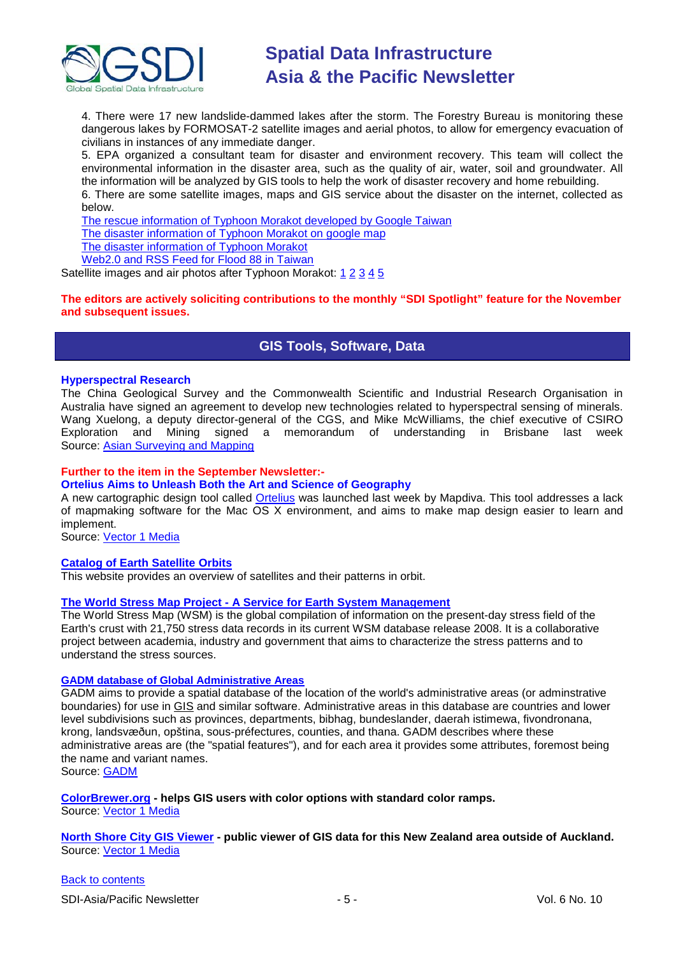

4. There were 17 new landslide-dammed lakes after the storm. The Forestry Bureau is monitoring these dangerous lakes by FORMOSAT-2 satellite images and aerial photos, to allow for emergency evacuation of civilians in instances of any immediate danger.

5. EPA organized a consultant team for disaster and environment recovery. This team will collect the environmental information in the disaster area, such as the quality of air, water, soil and groundwater. All the information will be analyzed by GIS tools to help the work of disaster recovery and home rebuilding. 6. There are some satellite images, maps and GIS service about the disaster on the internet, collected as below.

[The rescue information of Typhoon Morakot](http://www.google.com.tw/intl/zh-TW/landing/morakot/) developed by Google Taiwan [The disaster information of Typhoon Morakot](http://maps.google.com.tw/maps/ms?ie=UTF8&hl=zh-TW&brcurrent=3,0x3471e089bb4338c9:0xfdddeea4a2da6d2d&msa=0&msid=116386460682638203042.000470a33fd5b4fcc5768&ll=23.246393,120.778198&spn=2.018798,2.69165&z=8&source=embed&start=2000) on google map [The disaster information of Typhoon Morakot](http://gemvg.com/archives/530) [Web2.0 and RSS Feed for Flood 88 in Taiwan](http://88.greencom.tw/node/124)

Satellite images and air photos after Typhoon Morakot: [1](http://www.csrsr.ncu.edu.tw/08CSRWeb/ChinVer/C7Info/announce_list/announceTmp/090808Typhone/20090808Typhone0813.pdf) [2](http://gis.rchss.sinica.edu.tw/google/wp-content/uploads/2009/08/88flood_aerophoto.pdf) [3](http://gemvg.com/?p=528) [4](http://140.137.13.100/news_090817.html) [5](http://140.116.228.186/Compare.aspx)

# <span id="page-4-0"></span>**The editors are actively soliciting contributions to the monthly "SDI Spotlight" feature for the November and subsequent issues.**

# **GIS Tools, Software, Data**

# **Hyperspectral Research**

The China Geological Survey and the Commonwealth Scientific and Industrial Research Organisation in Australia have signed an agreement to develop new technologies related to hyperspectral sensing of minerals. Wang Xuelong, a deputy director-general of the CGS, and Mike McWilliams, the chief executive of CSIRO Exploration and Mining signed a memorandum of understanding in Brisbane last week Source: [Asian Surveying and Mapping](http://www.asmmag.com/features/hyperspectral-research)

# **Further to the item in the September Newsletter:-**

# **Ortelius Aims to Unleash Both the Art and Science of Geography**

A new cartographic design tool called [Ortelius](http://www.mapdiva.com/) was launched last week by Mapdiva. This tool addresses a lack of mapmaking software for the Mac OS X environment, and aims to make map design easier to learn and implement.

Source: [Vector 1 Media](http://vector1media.com/spatialsustain/ortelius-aims-to-unleash-both-the-art-and-science-of-geography.html)

# **[Catalog of Earth Satellite Orbits](http://earthobservatory.nasa.gov/Features/OrbitsCatalog/)**

This website provides an overview of satellites and their patterns in orbit.

# **The World Stress Map Project - [A Service for Earth System Management](http://dc-app3-14.gfz-potsdam.de/pub/introduction/introduction_frame.html)**

The World Stress Map (WSM) is the global compilation of information on the present-day stress field of the Earth's crust with 21,750 stress data records in its current WSM database release 2008. It is a collaborative project between academia, industry and government that aims to characterize the stress patterns and to understand the stress sources.

# **[GADM database of Global Administrative Areas](http://gadm.org/home)**

GADM aims to provide a spatial database of the location of the world's administrative areas (or adminstrative boundaries) for use in [GIS](http://en.wikipedia.org/wiki/Geographic_information_system) and similar software. Administrative areas in this database are countries and lower level subdivisions such as provinces, departments, bibhag, bundeslander, daerah istimewa, fivondronana, krong, landsvæðun, opština, sous-préfectures, counties, and thana. GADM describes where these administrative areas are (the "spatial features"), and for each area it provides some attributes, foremost being the name and variant names.

Source: [GADM](http://gadm.org/)

# **[ColorBrewer.org](http://www.colorbrewer.org/) - helps GIS users with color options with standard color ramps.**

Source: [Vector 1 Media](http://www.vector1media.com/newsletter/archive/v1-newsletter%11vol.-3,-issue-35/)

# **[North Shore City GIS Viewer](http://www.publicgis.northshorecity.govt.nz/oneview/public.html;jsessionid=kdt0c66zvzpd) - public viewer of GIS data for this New Zealand area outside of Auckland.** Source: [Vector 1 Media](http://www.vector1media.com/newsletter/archive/v1-newsletter%11vol.-3,-issue-35/)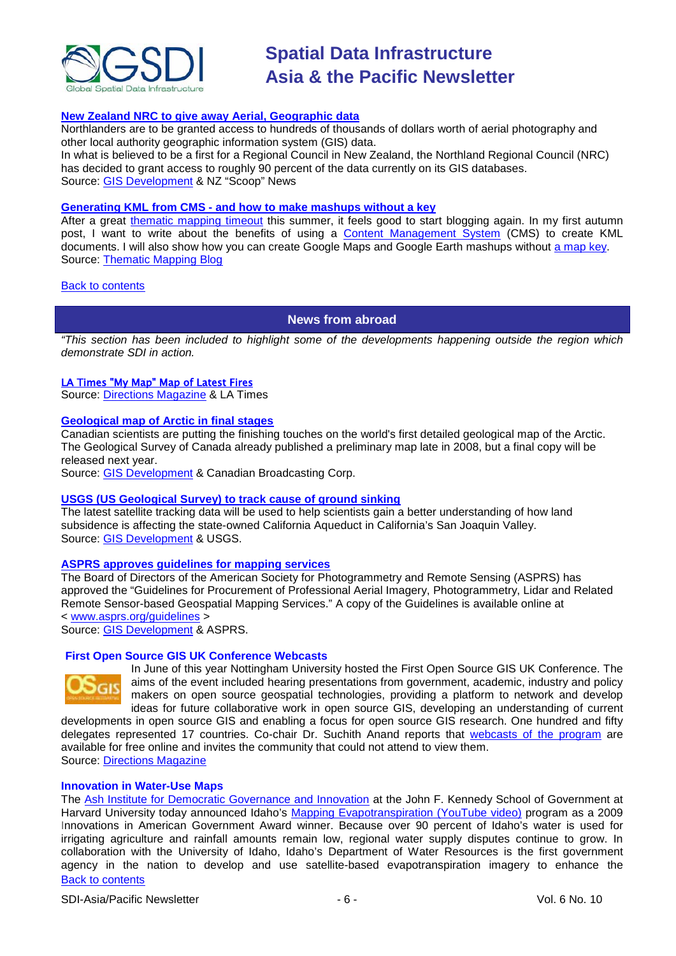

# **New Zealand [NRC to give away Aerial, Geographic data](http://www.scoop.co.nz/stories/AK0909/S00165.htm)**

Northlanders are to be granted access to hundreds of thousands of dollars worth of aerial photography and other local authority geographic information system (GIS) data.

In what is believed to be a first for a Regional Council in New Zealand, the Northland Regional Council (NRC) has decided to grant access to roughly 90 percent of the data currently on its GIS databases. Source: [GIS Development](http://www.gisdevelopment.net/news/viewn.asp?id=GIS:N_lvhozmbyrq&Ezine=sep2209§ion=News) & NZ "Scoop" News

#### **Generating KML from CMS - [and how to make mashups without a key](http://feedproxy.google.com/~r/thematicmapping/~3/_dPD9FfnmTo/generating-kml-from-cms-and-how-to-make.html)**

After a great [thematic mapping timeout](http://blog.turban.no/) this summer, it feels good to start blogging again. In my first autumn post, I want to write about the benefits of using a [Content Management System](http://en.wikipedia.org/wiki/Web_content_management_system) (CMS) to create KML documents. I will also show how you can create Google Maps and Google Earth mashups without [a map key.](http://code.google.com/intl/nb-NO/apis/maps/signup.html) Source: [Thematic Mapping Blog](http://blog.thematicmapping.org/)

## <span id="page-5-0"></span>[Back to contents](#page-0-0)

# **News from abroad**

*"This section has been included to highlight some of the developments happening outside the region which demonstrate SDI in action.*

# [LA Times "My Map" Map of Latest Fires](http://maps.google.com/maps/ms?ie=UTF8&msa=0&msid=117631292961056724014.0004720e21d9cded17ce4&t=p&source=embed&ll=34.254946,-118.176498&spn=0.280932,0.617294&z=11)

Source: [Directions Magazine](http://apb.directionsmag.com/archives/6389-LA-Times-My-Map-Map-of-Latest-Fires.html) & LA Times

#### **[Geological map of Arctic in final stages](http://www.cbc.ca/canada/north/story/2009/09/15/arctic-geo-map.html)**

Canadian scientists are putting the finishing touches on the world's first detailed geological map of the Arctic. The Geological Survey of Canada already published a preliminary map late in 2008, but a final copy will be released next year.

Source: [GIS Development](http://www.gisdevelopment.net/news/viewn.asp?id=GIS:N_gbsxmdjlpf) & Canadian Broadcasting Corp.

# **[USGS \(US Geological Survey\) to track cause of ground sinking](http://www.usgs.gov/newsroom/article.asp?ID=2300)**

The latest satellite tracking data will be used to help scientists gain a better understanding of how land subsidence is affecting the state-owned California Aqueduct in California's San Joaquin Valley. Source: [GIS Development](http://www.gisdevelopment.net/news/viewn.asp?id=GIS:N_jchbfvemlx&Ezine=sep1409§ion=News) & USGS.

# **[ASPRS approves guidelines for mapping services](http://www.asprs.org/news/releases/2009-09-prof-services-guidelines-approved.htm)**

The Board of Directors of the American Society for Photogrammetry and Remote Sensing (ASPRS) has approved the "Guidelines for Procurement of Professional Aerial Imagery, Photogrammetry, Lidar and Related Remote Sensor-based Geospatial Mapping Services." A copy of the Guidelines is available online at < [www.asprs.org/guidelines](http://www.asprs.org/guidelines) >

Source: [GIS Development](http://www.gisdevelopment.net/news/viewn.asp?id=GIS:N_fscpqzvxwr&Ezine=sep1409§ion=News) & ASPRS.

#### **[First Open Source GIS UK Conference Webcasts](http://newsletter.directionsmag.com/link.php?M=145624&N=1989&L=27777)**



In June of this year Nottingham University hosted the First Open Source GIS UK Conference. The aims of the event included hearing presentations from government, academic, industry and policy makers on open source geospatial technologies, providing a platform to network and develop ideas for future collaborative work in open source GIS, developing an understanding of current

developments in open source GIS and enabling a focus for open source GIS research. One hundred and fifty delegates represented 17 countries. Co-chair Dr. Suchith Anand reports that [webcasts of the program](http://cgs.nottingham.ac.uk/~osgis/os_call_info.html) are available for free online and invites the community that could not attend to view them. Source: [Directions Magazine](http://www.directionsmedia.net/newsletters.archive/index.php?ID=1486)

#### **Innovation in Water-Use Maps**

[Back to contents](#page-0-0) The [Ash Institute for Democratic Governance and Innovation](http://www.ashinstitute.harvard.edu/) at the John F. Kennedy School of Government at Harvard University today announced Idaho's [Mapping Evapotranspiration \(YouTube video\)](http://www.youtube.com/watch?v=oNcZ8Ogk4zc&feature=PlayList&p=740FD3E68DCF9650&index=16) program as a 2009 Innovations in American Government Award winner. Because over 90 percent of Idaho's water is used for irrigating agriculture and rainfall amounts remain low, regional water supply disputes continue to grow. In collaboration with the University of Idaho, Idaho's Department of Water Resources is the first government agency in the nation to develop and use satellite-based evapotranspiration imagery to enhance the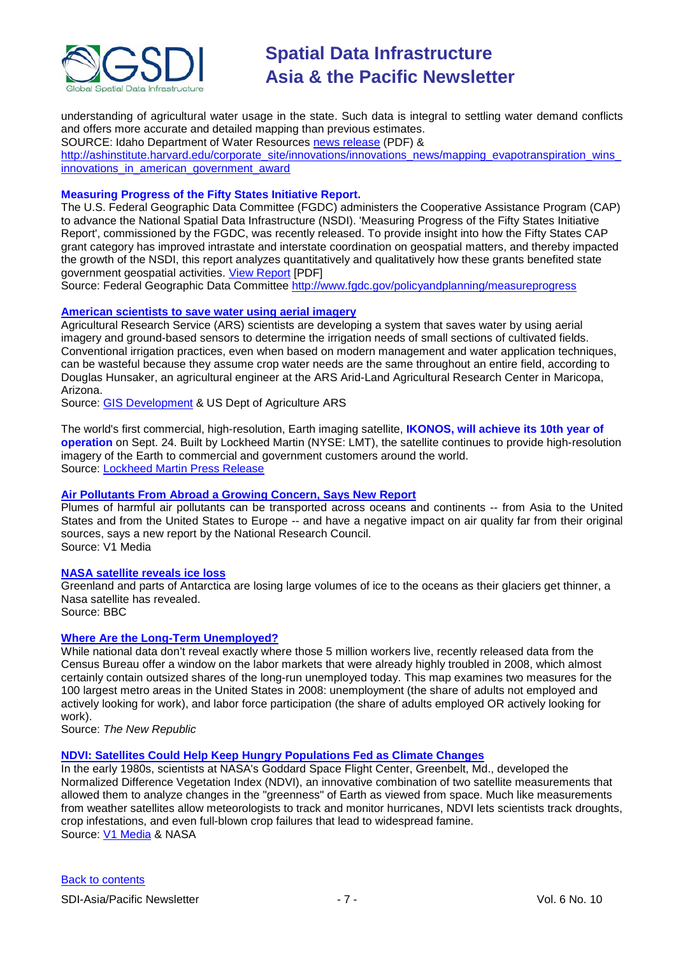

understanding of agricultural water usage in the state. Such data is integral to settling water demand conflicts and offers more accurate and detailed mapping than previous estimates.

SOURCE: Idaho Department of Water Resources [news release](http://www.idwr.idaho.gov/News/news_releases/rels2009/09Sep/2009-27.pdf) (PDF) &

[http://ashinstitute.harvard.edu/corporate\\_site/innovations/innovations\\_news/mapping\\_evapotranspiration\\_wins\\_](http://ashinstitute.harvard.edu/corporate_site/innovations/innovations_news/mapping_evapotranspiration_wins_innovations_in_american_government_award) [innovations\\_in\\_american\\_government\\_award](http://ashinstitute.harvard.edu/corporate_site/innovations/innovations_news/mapping_evapotranspiration_wins_innovations_in_american_government_award)

# **Measuring Progress of the Fifty States Initiative Report.**

The U.S. Federal Geographic Data Committee (FGDC) administers the Cooperative Assistance Program (CAP) to advance the National Spatial Data Infrastructure (NSDI). 'Measuring Progress of the Fifty States Initiative Report', commissioned by the FGDC, was recently released. To provide insight into how the Fifty States CAP grant category has improved intrastate and interstate coordination on geospatial matters, and thereby impacted the growth of the NSDI, this report analyzes quantitatively and qualitatively how these grants benefited state government geospatial activities. [View Report](http://www.fgdc.gov/policyandplanning/measureprogress) [PDF]

Source: Federal Geographic Data Committee <http://www.fgdc.gov/policyandplanning/measureprogress>

# **[American scientists to save water using aerial imagery](http://www.ars.usda.gov/is/pr/2009/090914.htm)**

Agricultural Research Service (ARS) scientists are developing a system that saves water by using aerial imagery and ground-based sensors to determine the irrigation needs of small sections of cultivated fields. Conventional irrigation practices, even when based on modern management and water application techniques, can be wasteful because they assume crop water needs are the same throughout an entire field, according to Douglas Hunsaker, an agricultural engineer at the ARS Arid-Land Agricultural Research Center in Maricopa, Arizona.

Source: [GIS Development](http://www.gisdevelopment.net/news/viewn.asp?id=GIS:N_rmjwevkqlh&Ezine=sep2209§ion=News) & US Dept of Agriculture ARS

The world's first commercial, high-resolution, Earth imaging satellite, **IKONOS, will achieve its 10th year of operation** on Sept. 24. Built by Lockheed Martin (NYSE: LMT), the satellite continues to provide high-resolution imagery of the Earth to commercial and government customers around the world. Source: [Lockheed Martin Press Release](http://www.directionsmag.com/press.releases/?duty=Show&id=37959)

# **[Air Pollutants From Abroad a Growing Concern, Says New Report](http://www.vector1media.com/news/top-stories/67-environment/9234-air-pollutants-from-abroad-a-growing-concern-says-new-report)**

Plumes of harmful air pollutants can be transported across oceans and continents -- from Asia to the United States and from the United States to Europe -- and have a negative impact on air quality far from their original sources, says a new report by the National Research Council. Source: V1 Media

# **[NASA satellite reveals ice loss](http://news.bbc.co.uk/2/hi/science/nature/8272357.stm)**

Greenland and parts of Antarctica are losing large volumes of ice to the oceans as their glaciers get thinner, a Nasa satellite has revealed.

Source: BBC

# **[Where Are the Long-Term Unemployed?](http://www.tnr.com/blog/the-avenue/where-are-the-long-term-unemployed)**

While national data don't reveal exactly where those 5 million workers live, recently released data from the Census Bureau offer a window on the labor markets that were already highly troubled in 2008, which almost certainly contain outsized shares of the long-run unemployed today. This map examines two measures for the 100 largest metro areas in the United States in 2008: unemployment (the share of adults not employed and actively looking for work), and labor force participation (the share of adults employed OR actively looking for work).

Source: *The New Republic*

# **[NDVI: Satellites Could Help Keep Hungry Populations Fed as Climate Changes](http://www.nasa.gov/topics/earth/features/obscure_data.html)**

In the early 1980s, scientists at NASA's Goddard Space Flight Center, Greenbelt, Md., developed the Normalized Difference Vegetation Index (NDVI), an innovative combination of two satellite measurements that allowed them to analyze changes in the "greenness" of Earth as viewed from space. Much like measurements from weather satellites allow meteorologists to track and monitor hurricanes, NDVI lets scientists track droughts, crop infestations, and even full-blown crop failures that lead to widespread famine. Source: [V1 Media](http://www.vector1media.com/resources/newsletter/9075-v1-newsletter-vol-3-issue-37) & NASA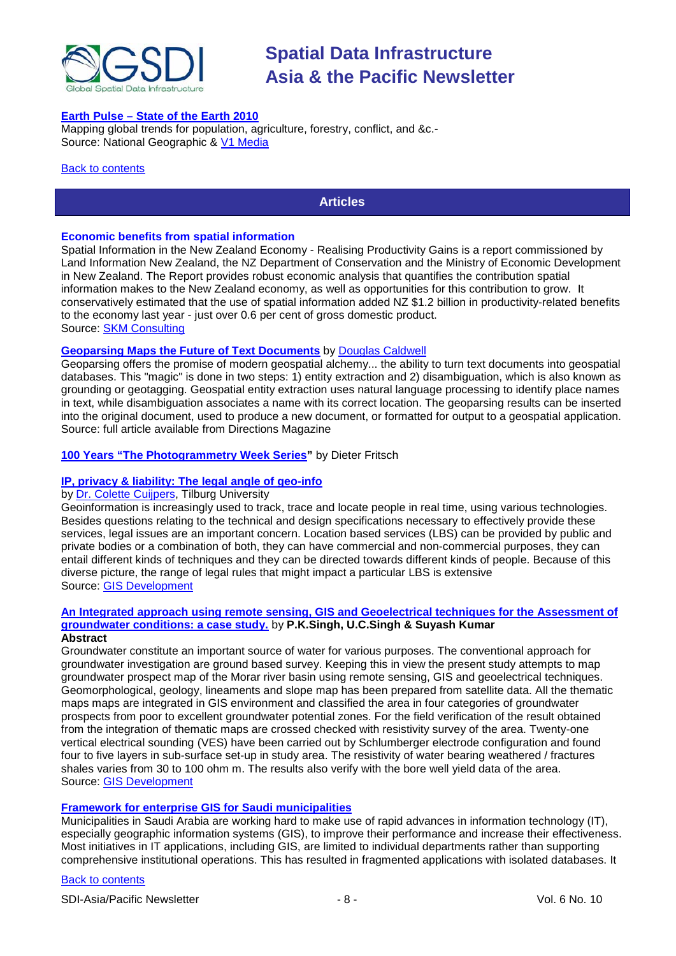

# **Earth Pulse – [State of the Earth 2010](http://ngm.nationalgeographic.com/earthpulse/earthpulse-map)**

Mapping global trends for population, agriculture, forestry, conflict, and &c.- Source: National Geographic & [V1 Media](http://www.vector1media.com/resources/newsletter/9196-v1-newsletter-vol-3-issue-38)

#### <span id="page-7-0"></span>**[Back to contents](#page-0-0)**

# **Articles**

# **Economic benefits from spatial information**

Spatial Information in the New Zealand Economy - Realising Productivity Gains is a report commissioned by Land Information New Zealand, the NZ Department of Conservation and the Ministry of Economic Development in New Zealand. The Report provides robust economic analysis that quantifies the contribution spatial information makes to the New Zealand economy, as well as opportunities for this contribution to grow. It conservatively estimated that the use of spatial information added NZ \$1.2 billion in productivity-related benefits to the economy last year - just over 0.6 per cent of gross domestic product. Source: [SKM Consulting](http://www.skmconsulting.com/Knowledge-and-Insights/News/2009/Economic-benefits-from-spatial-information.aspx)

# **[Geoparsing Maps the Future of Text Documents](http://www.directionsmag.com/article.php?article_id=3268)** by [Douglas Caldwell](mailto:Douglas.R.Caldwell@usace.army.mil)

Geoparsing offers the promise of modern geospatial alchemy... the ability to turn text documents into geospatial databases. This "magic" is done in two steps: 1) entity extraction and 2) disambiguation, which is also known as grounding or geotagging. Geospatial entity extraction uses natural language processing to identify place names in text, while disambiguation associates a name with its correct location. The geoparsing results can be inserted into the original document, used to produce a new document, or formatted for output to a geospatial application. Source: full article available from Directions Magazine

# **[100 Years "The Photogrammetry Week Series"](http://www.vector1media.com/articles/features/8626-100-years-the-photogrammetry-week-series)** by Dieter Fritsch

# **[IP, privacy & liability: The legal angle of geo-info](http://www.gisdevelopment.net/magazine/global/2009/August/38.htm)**

# by [Dr. Colette Cuijpers,](mailto:c.m.k.c.cuijpers@uvt.nl) Tilburg University

Geoinformation is increasingly used to track, trace and locate people in real time, using various technologies. Besides questions relating to the technical and design specifications necessary to effectively provide these services, legal issues are an important concern. Location based services (LBS) can be provided by public and private bodies or a combination of both, they can have commercial and non-commercial purposes, they can entail different kinds of techniques and they can be directed towards different kinds of people. Because of this diverse picture, the range of legal rules that might impact a particular LBS is extensive Source: [GIS Development](http://www.gisdevelopment.net/ezine/weekly/sep0709.htm)

#### **[An Integrated approach using remote sensing, GIS and Geoelectrical techniques for the Assessment of](http://www.gisdevelopment.net/application/nrm/water/ground/iars.htm)  [groundwater conditions: a case study.](http://www.gisdevelopment.net/application/nrm/water/ground/iars.htm)** by **P.K.Singh, U.C.Singh & Suyash Kumar Abstract**

Groundwater constitute an important source of water for various purposes. The conventional approach for groundwater investigation are ground based survey. Keeping this in view the present study attempts to map groundwater prospect map of the Morar river basin using remote sensing, GIS and geoelectrical techniques. Geomorphological, geology, lineaments and slope map has been prepared from satellite data. All the thematic maps maps are integrated in GIS environment and classified the area in four categories of groundwater prospects from poor to excellent groundwater potential zones. For the field verification of the result obtained from the integration of thematic maps are crossed checked with resistivity survey of the area. Twenty-one vertical electrical sounding (VES) have been carried out by Schlumberger electrode configuration and found four to five layers in sub-surface set-up in study area. The resistivity of water bearing weathered / fractures shales varies from 30 to 100 ohm m. The results also verify with the bore well yield data of the area. Source: [GIS Development](http://www.gisdevelopment.net/ezine/weekly/sep0709.htm)

# **[Framework for enterprise GIS for Saudi municipalities](http://www.informaworld.com/smpp/content~content=a913689388)**

Municipalities in Saudi Arabia are working hard to make use of rapid advances in information technology (IT), especially geographic information systems (GIS), to improve their performance and increase their effectiveness. Most initiatives in IT applications, including GIS, are limited to individual departments rather than supporting comprehensive institutional operations. This has resulted in fragmented applications with isolated databases. It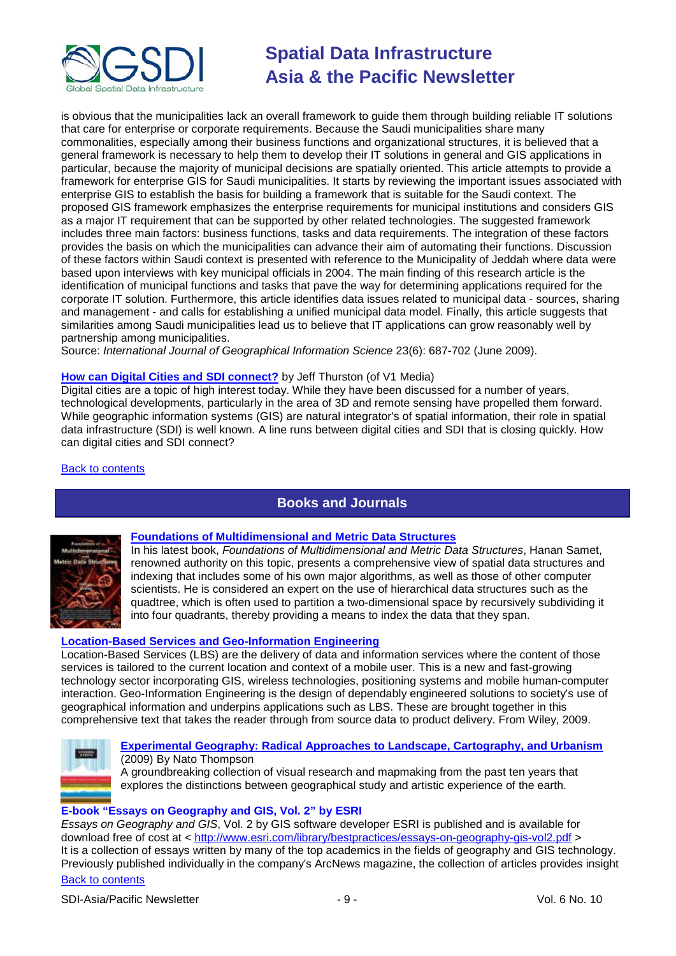

is obvious that the municipalities lack an overall framework to guide them through building reliable IT solutions that care for enterprise or corporate requirements. Because the Saudi municipalities share many commonalities, especially among their business functions and organizational structures, it is believed that a general framework is necessary to help them to develop their IT solutions in general and GIS applications in particular, because the majority of municipal decisions are spatially oriented. This article attempts to provide a framework for enterprise GIS for Saudi municipalities. It starts by reviewing the important issues associated with enterprise GIS to establish the basis for building a framework that is suitable for the Saudi context. The proposed GIS framework emphasizes the enterprise requirements for municipal institutions and considers GIS as a major IT requirement that can be supported by other related technologies. The suggested framework includes three main factors: business functions, tasks and data requirements. The integration of these factors provides the basis on which the municipalities can advance their aim of automating their functions. Discussion of these factors within Saudi context is presented with reference to the Municipality of Jeddah where data were based upon interviews with key municipal officials in 2004. The main finding of this research article is the identification of municipal functions and tasks that pave the way for determining applications required for the corporate IT solution. Furthermore, this article identifies data issues related to municipal data - sources, sharing and management - and calls for establishing a unified municipal data model. Finally, this article suggests that similarities among Saudi municipalities lead us to believe that IT applications can grow reasonably well by partnership among municipalities.

Source: *International Journal of Geographical Information Science* 23(6): 687-702 (June 2009).

# **[How can Digital Cities and SDI connect?](http://www.vector1media.com/dialogue/perspectives/9194-how-can-digital-cities-and-spatial-data-infrastructure-connect)** by Jeff Thurston (of V1 Media)

Digital cities are a topic of high interest today. While they have been discussed for a number of years, technological developments, particularly in the area of 3D and remote sensing have propelled them forward. While geographic information systems (GIS) are natural integrator's of spatial information, their role in spatial data infrastructure (SDI) is well known. A line runs between digital cities and SDI that is closing quickly. How can digital cities and SDI connect?

# <span id="page-8-0"></span>[Back to contents](#page-0-0)

# **Books and Journals**



# **[Foundations of Multidimensional](http://www.directionsmedia.net/store-books/?book_id=711) [and Metric Data Structures](http://www.directionsmedia.net/store-books/?book_id=711)**

In his latest book, *Foundations of Multidimensional and Metric Data Structures*, Hanan Samet, renowned authority on this topic, presents a comprehensive view of spatial data structures and indexing that includes some of his own major algorithms, as well as those of other computer scientists. He is considered an expert on the use of hierarchical data structures such as the quadtree, which is often used to partition a two-dimensional space by recursively subdividing it into four quadrants, thereby providing a means to index the data that they span.

# **[Location-Based Services and Geo-Information Engineering](http://www.amazon.com/exec/obidos/ASIN/0470857374/directionsm00-20)**

Location-Based Services (LBS) are the delivery of data and information services where the content of those services is tailored to the current location and context of a mobile user. This is a new and fast-growing technology sector incorporating GIS, wireless technologies, positioning systems and mobile human-computer interaction. Geo-Information Engineering is the design of dependably engineered solutions to society's use of geographical information and underpins applications such as LBS. These are brought together in this comprehensive text that takes the reader through from source data to product delivery. From Wiley, 2009.



# **[Experimental Geography: Radical Approaches to Landscape, Cartography, and Urbanism](http://www.amazon.com/gp/product/0091636582?ie=UTF8&tag=vectmedi-20&linkCode=xm2&creativeASIN=0091636582)** (2009) By Nato Thompson

A groundbreaking collection of visual research and mapmaking from the past ten years that explores the distinctions between geographical study and artistic experience of the earth.

# **E-book "Essays on Geography and GIS, Vol. 2" by ESRI**

[Back to contents](#page-0-0) *Essays on Geography and GIS*, Vol. 2 by GIS software developer ESRI is published and is available for download free of cost at <<http://www.esri.com/library/bestpractices/essays-on-geography-gis-vol2.pdf> > It is a collection of essays written by many of the top academics in the fields of geography and GIS technology. Previously published individually in the company's ArcNews magazine, the collection of articles provides insight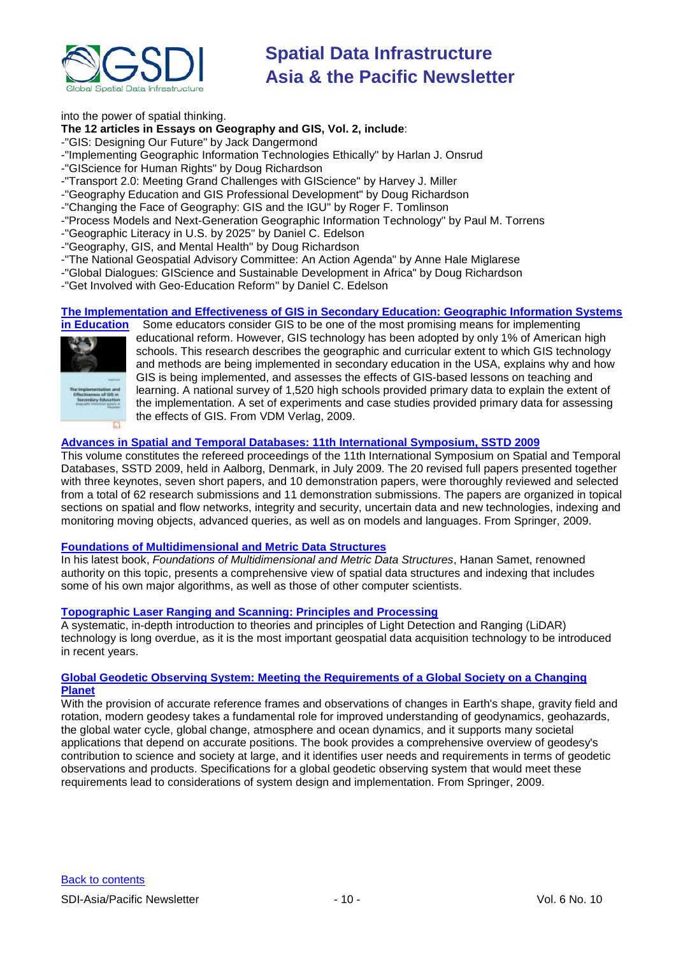

# into the power of spatial thinking.

# **The 12 articles in Essays on Geography and GIS, Vol. 2, include**:

-"GIS: Designing Our Future" by Jack Dangermond

-"Implementing Geographic Information Technologies Ethically" by Harlan J. Onsrud

-"GIScience for Human Rights" by Doug Richardson

-"Transport 2.0: Meeting Grand Challenges with GIScience" by Harvey J. Miller

-"Geography Education and GIS Professional Development" by Doug Richardson

-"Changing the Face of Geography: GIS and the IGU" by Roger F. Tomlinson

- -"Process Models and Next-Generation Geographic Information Technology" by Paul M. Torrens
- -"Geographic Literacy in U.S. by 2025" by Daniel C. Edelson
- -"Geography, GIS, and Mental Health" by Doug Richardson
- -"The National Geospatial Advisory Committee: An Action Agenda" by Anne Hale Miglarese
- -"Global Dialogues: GIScience and Sustainable Development in Africa" by Doug Richardson
- -"Get Involved with Geo-Education Reform" by Daniel C. Edelson

# **[The Implementation and Effectiveness of GIS in Secondary Education: Geographic Information Systems](http://www.amazon.com/exec/obidos/ASIN/363917769X/directionsm00-20)**



Some educators consider GIS to be one of the most promising means for implementing educational reform. However, GIS technology has been adopted by only 1% of American high schools. This research describes the geographic and curricular extent to which GIS technology and methods are being implemented in secondary education in the USA, explains why and how GIS is being implemented, and assesses the effects of GIS-based lessons on teaching and learning. A national survey of 1,520 high schools provided primary data to explain the extent of the implementation. A set of experiments and case studies provided primary data for assessing the effects of GIS. From VDM Verlag, 2009.

# **[Advances in Spatial and Temporal Databases: 11th International Symposium, SSTD 2009](http://www.amazon.com/exec/obidos/ASIN/3642029817/directionsm00-20)**

This volume constitutes the refereed proceedings of the 11th International Symposium on Spatial and Temporal Databases, SSTD 2009, held in Aalborg, Denmark, in July 2009. The 20 revised full papers presented together with three keynotes, seven short papers, and 10 demonstration papers, were thoroughly reviewed and selected from a total of 62 research submissions and 11 demonstration submissions. The papers are organized in topical sections on spatial and flow networks, integrity and security, uncertain data and new technologies, indexing and monitoring moving objects, advanced queries, as well as on models and languages. From Springer, 2009.

# **[Foundations of Multidimensional and Metric Data Structures](http://newsletter.directionsmag.com/link.php?M=145624&N=2031&L=27562)**

In his latest book, *Foundations of Multidimensional and Metric Data Structures*, Hanan Samet, renowned authority on this topic, presents a comprehensive view of spatial data structures and indexing that includes some of his own major algorithms, as well as those of other computer scientists.

# **[Topographic Laser Ranging and Scanning: Principles and Processing](http://newsletter.directionsmag.com/link.php?M=145624&N=2031&L=28020)**

A systematic, in-depth introduction to theories and principles of Light Detection and Ranging (LiDAR) technology is long overdue, as it is the most important geospatial data acquisition technology to be introduced in recent years.

# **[Global Geodetic Observing System: Meeting the Requirements of a Global Society on a Changing](http://newsletter.directionsmag.com/link.php?M=145624&N=2031&L=27370)  [Planet](http://newsletter.directionsmag.com/link.php?M=145624&N=2031&L=27370)**

With the provision of accurate reference frames and observations of changes in Earth's shape, gravity field and rotation, modern geodesy takes a fundamental role for improved understanding of geodynamics, geohazards, the global water cycle, global change, atmosphere and ocean dynamics, and it supports many societal applications that depend on accurate positions. The book provides a comprehensive overview of geodesy's contribution to science and society at large, and it identifies user needs and requirements in terms of geodetic observations and products. Specifications for a global geodetic observing system that would meet these requirements lead to considerations of system design and implementation. From Springer, 2009.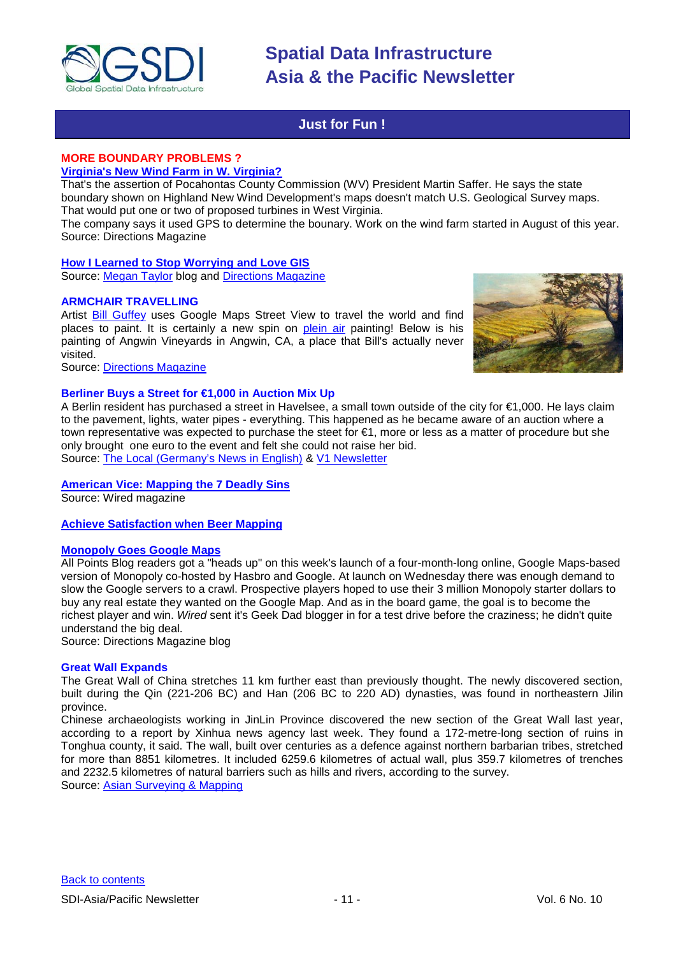

# **Just for Fun !**

# <span id="page-10-0"></span>**MORE BOUNDARY PROBLEMS ?**

**[Virginia's New Wind Farm in W. Virginia?](http://apb.directionsmag.com/archives/6391-Virginias-New-Wind-Farm-in-W.-Virginia.html)**

That's the assertion of Pocahontas County Commission (WV) President Martin Saffer. He says the state boundary shown on Highland New Wind Development's maps doesn't match U.S. Geological Survey maps. That would put one or two of proposed turbines in West Virginia.

The company says it used GPS to determine the bounary. Work on the wind farm started in August of this year. Source: Directions Magazine

# **[How I Learned to Stop Worrying and Love GIS](http://www.megantaylor.org/wordpress/2009/08/28/how-i-learned-to-stop-worrying-and-love-gis/)**

Source: [Megan Taylor](http://www.megantaylor.org/wordpress/author/admin/) blog and [Directions Magazine](http://apb.directionsmag.com/archives/6390-How-Regular-People-Make-Maps.html)

# **ARMCHAIR TRAVELLING**

Artist [Bill Guffey](http://www.bnguffey.com/) uses Google Maps Street View to travel the world and find places to paint. It is certainly a new spin on [plein air](http://en.wikipedia.org/wiki/En_plein_air) painting! Below is his painting of Angwin Vineyards in Angwin, CA, a place that Bill's actually never visited.

Source: [Directions Magazine](http://www.directionsmedia.net/newsletters.archive/index.php?ID=1478)

# **Berliner Buys a Street for €1,000 in Auction Mix Up**

A Berlin resident has purchased a street in Havelsee, a small town outside of the city for €1,000. He lays claim to the pavement, lights, water pipes - everything. This happened as he became aware of an auction where a town representative was expected to purchase the steet for €1, more or less as a matter of procedure but she only brought one euro to the event and felt she could not raise her bid. Source: [The Local \(Germany's News in English\)](http://www.thelocal.de/national/20090826-21495.html) & [V1 Newsletter](http://vector1media.com/vectorone/?p=3528)

# **[American Vice: Mapping the 7 Deadly Sins](http://www.wired.com/culture/education/magazine/17-09/st_sinmaps)**

Source: Wired magazine

# **[Achieve Satisfaction when Beer Mapping](http://beermapping.com/)**

# **[Monopoly Goes Google Maps](http://apb.directionsmag.com/archives/6417-Monopoly-Goes-Google-Maps;-Confuses-Geek-Dad.html)**

All Points Blog readers got a "heads up" on this week's launch of a four-month-long online, Google Maps-based version of Monopoly co-hosted by Hasbro and Google. At launch on Wednesday there was enough demand to slow the Google servers to a crawl. Prospective players hoped to use their 3 million Monopoly starter dollars to buy any real estate they wanted on the Google Map. And as in the board game, the goal is to become the richest player and win. *Wired* sent it's Geek Dad blogger in for a test drive before the craziness; he didn't quite understand the big deal.

Source: Directions Magazine blog

# **Great Wall Expands**

The Great Wall of China stretches 11 km further east than previously thought. The newly discovered section, built during the Qin (221-206 BC) and Han (206 BC to 220 AD) dynasties, was found in northeastern Jilin province.

Chinese archaeologists working in JinLin Province discovered the new section of the Great Wall last year, according to a report by Xinhua news agency last week. They found a 172-metre-long section of ruins in Tonghua county, it said. The wall, built over centuries as a defence against northern barbarian tribes, stretched for more than 8851 kilometres. It included 6259.6 kilometres of actual wall, plus 359.7 kilometres of trenches and 2232.5 kilometres of natural barriers such as hills and rivers, according to the survey.

Source: [Asian Surveying & Mapping](http://www.asmmag.com/news/great-wall-expands)

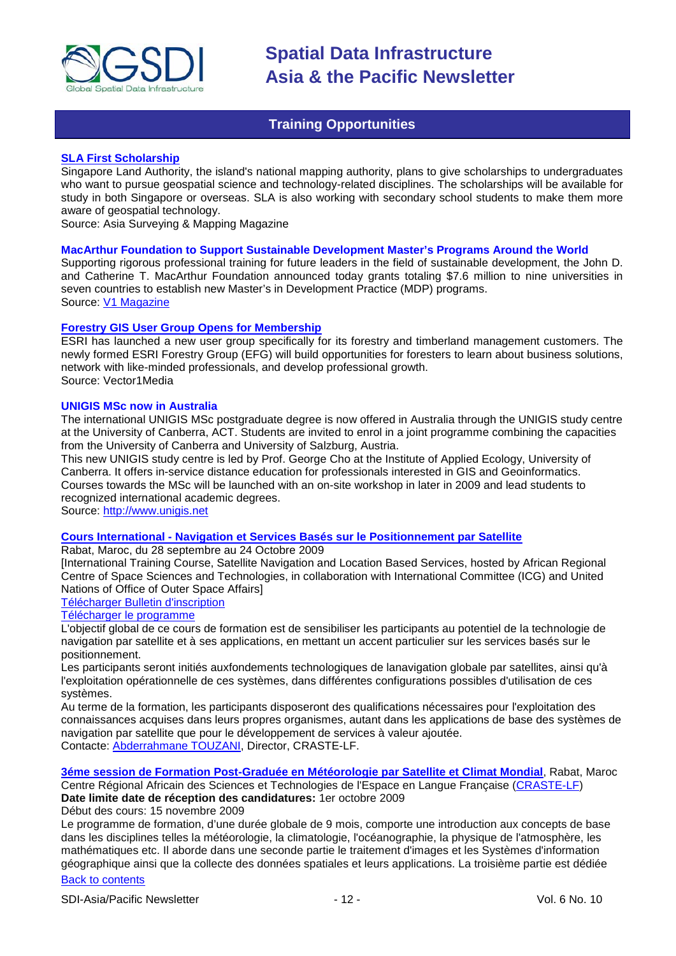

# **Training Opportunities**

# <span id="page-11-0"></span>**[SLA First Scholarship](http://www.asmmag.com/news/sla-first-scholarship)**

Singapore Land Authority, the island's national mapping authority, plans to give scholarships to undergraduates who want to pursue geospatial science and technology-related disciplines. The scholarships will be available for study in both Singapore or overseas. SLA is also working with secondary school students to make them more aware of geospatial technology.

Source: Asia Surveying & Mapping Magazine

# **MacArthur Foundation to Support Sustainable Development Master's Programs Around the World**

Supporting rigorous professional training for future leaders in the field of sustainable development, the John D. and Catherine T. MacArthur Foundation announced today grants totaling \$7.6 million to nine universities in seven countries to establish new Master's in Development Practice (MDP) programs. Source: [V1 Magazine](http://www.vector1media.com/top-stories/corporate-news/macarthur-to-support-sustainable-development-master%92s-programs-around-the-world/)

# **[Forestry GIS User Group Opens for Membership](http://www.vector1media.com/top-stories/corporate-news/forestry-gis-user-group-opens-for-membership/)**

ESRI has launched a new user group specifically for its forestry and timberland management customers. The newly formed ESRI Forestry Group (EFG) will build opportunities for foresters to learn about business solutions, network with like-minded professionals, and develop professional growth. Source: Vector1Media

# **UNIGIS MSc now in Australia**

The international UNIGIS MSc postgraduate degree is now offered in Australia through the UNIGIS study centre at the University of Canberra, ACT. Students are invited to enrol in a joint programme combining the capacities from the University of Canberra and University of Salzburg, Austria.

This new UNIGIS study centre is led by Prof. George Cho at the Institute of Applied Ecology, University of Canberra. It offers in-service distance education for professionals interested in GIS and Geoinformatics. Courses towards the MSc will be launched with an on-site workshop in later in 2009 and lead students to recognized international academic degrees.

Source: [http://www.unigis.net](http://www.unigis.net/)

# **Cours International - [Navigation et Services Basés sur le Positionnement par Satellite](http://www.enssup.gov.ma/craste/index.php?option=com_content&task=view&id=29&Itemid=1)**

Rabat, Maroc, du 28 septembre au 24 Octobre 2009

[International Training Course, Satellite Navigation and Location Based Services, hosted by African Regional Centre of Space Sciences and Technologies, in collaboration with International Committee (ICG) and United Nations of Office of Outer Space Affairs]

# [Télécharger Bulletin d'inscription](http://www.enssup.gov.ma/craste/media/bulletin_inscription.rtf)

# [Télécharger le programme](http://www.enssup.gov.ma/craste/images/craste_web/programme1.pdf)

L'objectif global de ce cours de formation est de sensibiliser les participants au potentiel de la technologie de navigation par satellite et à ses applications, en mettant un accent particulier sur les services basés sur le positionnement.

Les participants seront initiés auxfondements technologiques de lanavigation globale par satellites, ainsi qu'à l'exploitation opérationnelle de ces systèmes, dans différentes configurations possibles d'utilisation de ces systèmes.

Au terme de la formation, les participants disposeront des qualifications nécessaires pour l'exploitation des connaissances acquises dans leurs propres organismes, autant dans les applications de base des systèmes de navigation par satellite que pour le développement de services à valeur ajoutée. Contacte: [Abderrahmane TOUZANI,](mailto:touzani@emi.ac.ma) Director, CRASTE-LF.

**[3éme session de Formation Post-Graduée en Météorologie par Satellite et Climat Mondial](http://www.enssup.gov.ma/craste/media/MSCM_2009_Annonce.rtf)**, Rabat, Maroc

Centre Régional Africain des Sciences et Technologies de l'Espace en Langue Française [\(CRASTE-LF\)](http://www.enssup.gov.ma/craste/) **Date limite date de réception des candidatures:** 1er octobre 2009

# Début des cours: 15 novembre 2009

[Back to contents](#page-0-0) Le programme de formation, d'une durée globale de 9 mois, comporte une introduction aux concepts de base dans les disciplines telles la météorologie, la climatologie, l'océanographie, la physique de l'atmosphère, les mathématiques etc. Il aborde dans une seconde partie le traitement d'images et les Systèmes d'information géographique ainsi que la collecte des données spatiales et leurs applications. La troisième partie est dédiée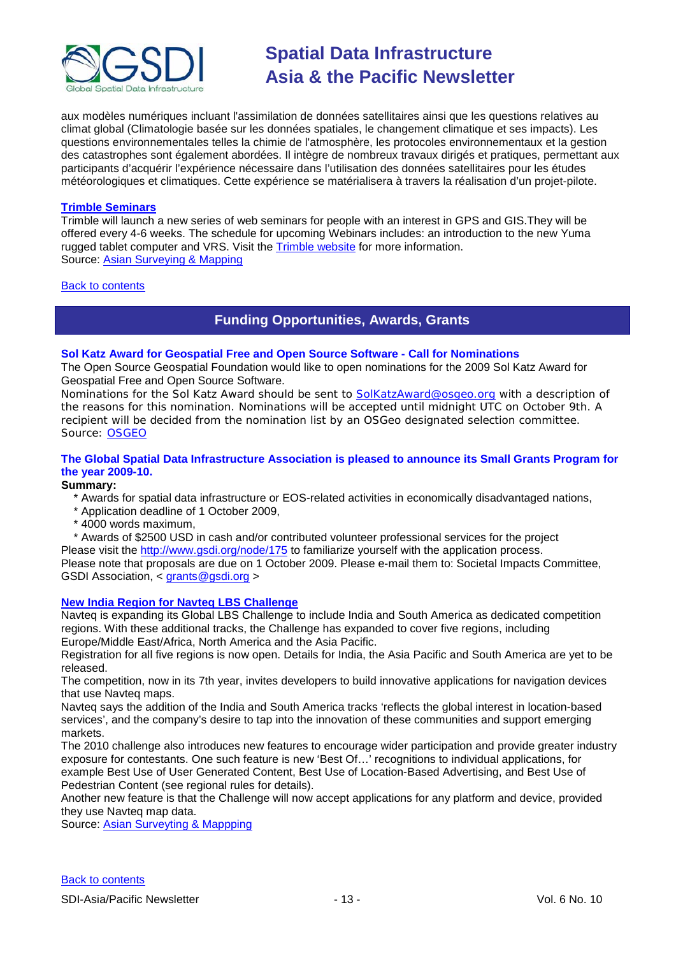

aux modèles numériques incluant l'assimilation de données satellitaires ainsi que les questions relatives au climat global (Climatologie basée sur les données spatiales, le changement climatique et ses impacts). Les questions environnementales telles la chimie de l'atmosphère, les protocoles environnementaux et la gestion des catastrophes sont également abordées. Il intègre de nombreux travaux dirigés et pratiques, permettant aux participants d'acquérir l'expérience nécessaire dans l'utilisation des données satellitaires pour les études météorologiques et climatiques. Cette expérience se matérialisera à travers la réalisation d'un projet-pilote.

# **[Trimble Seminars](http://www.trimble.com/mgis/webinars.shtml)**

Trimble will launch a new series of web seminars for people with an interest in GPS and GIS.They will be offered every 4-6 weeks. The schedule for upcoming Webinars includes: an introduction to the new Yuma rugged tablet computer and VRS. Visit the **Trimble website** for more information. Source: [Asian Surveying & Mapping](http://www.asmmag.com/news)

<span id="page-12-0"></span>[Back to contents](#page-0-0)

# **Funding Opportunities, Awards, Grants**

# **Sol Katz Award for Geospatial Free and Open Source Software - Call for Nominations**

The Open Source Geospatial Foundation would like to open nominations for the 2009 Sol Katz Award for Geospatial Free and Open Source Software.

Nominations for the Sol Katz Award should be sent to **SolKatzAward@osgeo.org** with a description of the reasons for this nomination. Nominations will be accepted until midnight UTC on October 9th. A recipient will be decided from the nomination list by an OSGeo designated selection committee. Source: [OSGEO](http://www.osgeo.org/node/952)

# **The Global Spatial Data Infrastructure Association is pleased to announce its Small Grants Program for the year 2009-10.**

# **Summary:**

- \* Awards for spatial data infrastructure or EOS-related activities in economically disadvantaged nations,
- \* Application deadline of 1 October 2009,
- \* 4000 words maximum,

\* Awards of \$2500 USD in cash and/or contributed volunteer professional services for the project

Please visit the<http://www.gsdi.org/node/175> to familiarize yourself with the application process. Please note that proposals are due on 1 October 2009. Please e-mail them to: Societal Impacts Committee, GSDI Association, < [grants@gsdi.org](mailto:grants@gsdi.org) >

# **[New India Region for Navteq LBS Challenge](http://www.lbschallenge.com/)**

Navteq is expanding its Global LBS Challenge to include India and South America as dedicated competition regions. With these additional tracks, the Challenge has expanded to cover five regions, including Europe/Middle East/Africa, North America and the Asia Pacific.

Registration for all five regions is now open. Details for India, the Asia Pacific and South America are yet to be released.

The competition, now in its 7th year, invites developers to build innovative applications for navigation devices that use Navteq maps.

Navteq says the addition of the India and South America tracks 'reflects the global interest in location-based services', and the company's desire to tap into the innovation of these communities and support emerging markets.

The 2010 challenge also introduces new features to encourage wider participation and provide greater industry exposure for contestants. One such feature is new 'Best Of…' recognitions to individual applications, for example Best Use of User Generated Content, Best Use of Location-Based Advertising, and Best Use of Pedestrian Content (see regional rules for details).

Another new feature is that the Challenge will now accept applications for any platform and device, provided they use Navteq map data.

Source: [Asian Surveyting & Mappping](http://www.asmmag.com/news/new-india-region-for-navteq-lbs-challenge)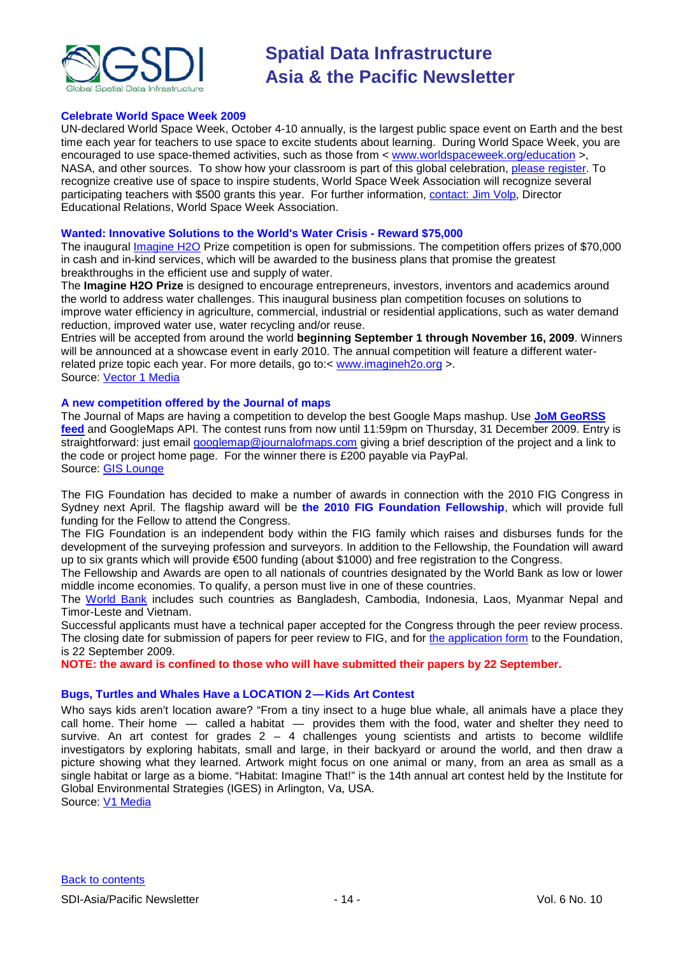

# **Celebrate World Space Week 2009**

UN-declared World Space Week, October 4-10 annually, is the largest public space event on Earth and the best time each year for teachers to use space to excite students about learning. During World Space Week, you are encouraged to use space-themed activities, such as those from < [www.worldspaceweek.org/education](http://www.worldspaceweek.org/education) >, NASA, and other sources. To show how your classroom is part of this global celebration, [please register.](http://www.worldspaceweek.org/new_event.php) To recognize creative use of space to inspire students, World Space Week Association will recognize several participating teachers with \$500 grants this year. For further information, [contact: Jim Volp,](mailto:jvolp@worldspaceweek.org) Director Educational Relations, World Space Week Association.

# **Wanted: Innovative Solutions to the World's Water Crisis - Reward \$75,000**

The inaugural *Imagine H2O Prize competition* is open for submissions. The competition offers prizes of \$70,000 in cash and in-kind services, which will be awarded to the business plans that promise the greatest breakthroughs in the efficient use and supply of water.

The **Imagine H2O Prize** is designed to encourage entrepreneurs, investors, inventors and academics around the world to address water challenges. This inaugural business plan competition focuses on solutions to improve water efficiency in agriculture, commercial, industrial or residential applications, such as water demand reduction, improved water use, water recycling and/or reuse.

Entries will be accepted from around the world **beginning September 1 through November 16, 2009**. Winners will be announced at a showcase event in early 2010. The annual competition will feature a different waterrelated prize topic each year. For more details, go to:< [www.imagineh2o.org](http://rs6.net/tn.jsp?et=1102692682168&s=1648&e=001KNi8O8J5HTNvrducYEz93jzs97payj6xBdqU73x1GxZ2_e9wno_QSh4jw8c1b0LMi0GaB0OcyojMd-qpO3iXgY3eelXd7F_R3RS_OTixRrI95HaASwT5gQ==) >. Source: [Vector 1 Media](http://www.vector1media.com/top-stories/environment/wanted%3a-innovative-solutions-to-the-world%27s-water-crisis-%11-reward-%2475,000/)

# **A new competition offered by the Journal of maps**

The Journal of Maps are having a competition to develop the best Google Maps mashup. Use **[JoM GeoRSS](http://journalofmaps.com/about.php?helpfile=smartyRSS.xml)  [feed](http://journalofmaps.com/about.php?helpfile=smartyRSS.xml)** and GoogleMaps API. The contest runs from now until 11:59pm on Thursday, 31 December 2009. Entry is straightforward: just email [googlemap@journalofmaps.com](mailto:%20googlemap@journalofmaps.com) giving a brief description of the project and a link to the code or project home page. For the winner there is £200 payable via PayPal. Source: [GIS Lounge](http://gislounge.com/journal-of-maps-google-maps-mashup-competition/)

The FIG Foundation has decided to make a number of awards in connection with the 2010 FIG Congress in Sydney next April. The flagship award will be **the 2010 FIG Foundation Fellowship**, which will provide full funding for the Fellow to attend the Congress.

The FIG Foundation is an independent body within the FIG family which raises and disburses funds for the development of the surveying profession and surveyors. In addition to the Fellowship, the Foundation will award up to six grants which will provide €500 funding (about \$1000) and free registration to the Congress.

The Fellowship and Awards are open to all nationals of countries designated by the World Bank as low or lower middle income economies. To qualify, a person must live in one of these countries.

The [World Bank](http://web.worldbank.org/WBSITE/EXTERNAL/DATASTATISTICS/0,,contentMDK:20421402~pagePK:64133150~piPK:64133175~theSitePK:239419,00.html#Low_income) includes such countries as Bangladesh, Cambodia, Indonesia, Laos, Myanmar Nepal and Timor-Leste and Vietnam.

Successful applicants must have a technical paper accepted for the Congress through the peer review process. The closing date for submission of papers for peer review to FIG, and for [the application form](http://www.fig.net/figfoundation/foundation_award_2009.pdf) to the Foundation, is 22 September 2009.

**NOTE: the award is confined to those who will have submitted their papers by 22 September.**

# **Bugs, Turtles and Whales Have a LOCATION 2 — Kids Art Contest**

Who says kids aren't location aware? "From a tiny insect to a huge blue whale, all animals have a place they call home. Their home — called a habitat — provides them with the food, water and shelter they need to survive. An art contest for grades  $2 - 4$  challenges young scientists and artists to become wildlife investigators by exploring habitats, small and large, in their backyard or around the world, and then draw a picture showing what they learned. Artwork might focus on one animal or many, from an area as small as a single habitat or large as a biome. "Habitat: Imagine That!" is the 14th annual art contest held by the Institute for Global Environmental Strategies (IGES) in Arlington, Va, USA.

Source: [V1 Media](http://vector1media.com/vectorone/?p=3824)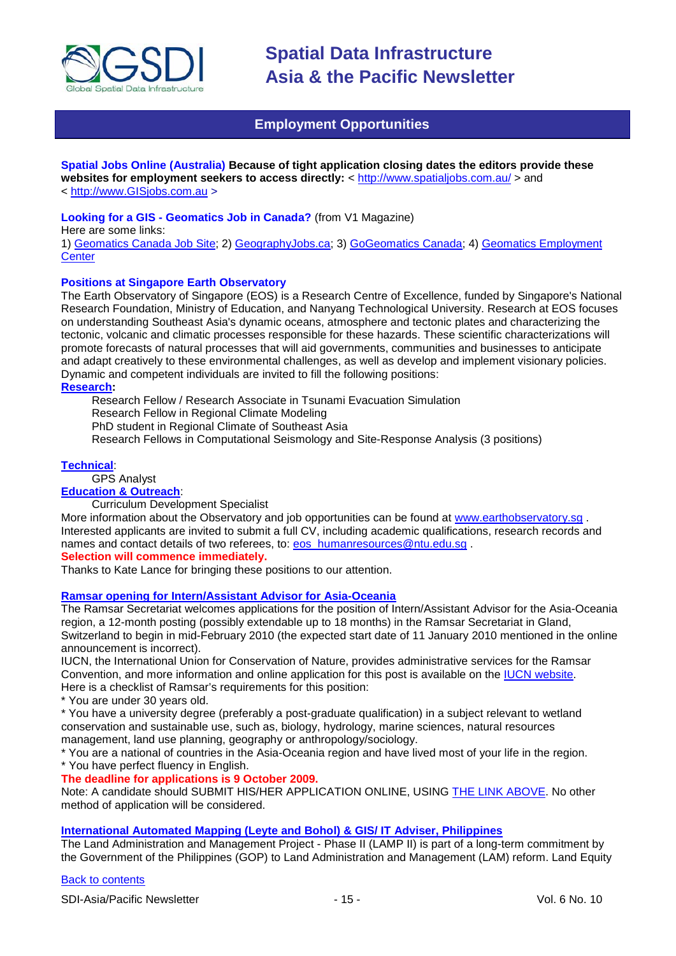

# **Employment Opportunities**

# <span id="page-14-0"></span>**Spatial Jobs Online (Australia) Because of tight application closing dates the editors provide these**

**websites for employment seekers to access directly:** <<http://www.spatialjobs.com.au/> > and < [http://www.GISjobs.com.au](http://www.gisjobs.com.au/) >

# **Looking for a GIS - Geomatics Job in Canada?** (from V1 Magazine)

Here are some links:

1) [Geomatics Canada Job Site;](http://geomaticscanada.com/jobs.cfm) 2) [GeographyJobs.ca;](http://www.geographyjobs.ca/) 3) [GoGeomatics Canada;](http://canada.gogeomatics.net/frmHome.aspx) 4) [Geomatics Employment](http://gisjobs.ca/)  **[Center](http://gisjobs.ca/)** 

# **Positions at Singapore Earth Observatory**

The Earth Observatory of Singapore (EOS) is a Research Centre of Excellence, funded by Singapore's National Research Foundation, Ministry of Education, and Nanyang Technological University. Research at EOS focuses on understanding Southeast Asia's dynamic oceans, atmosphere and tectonic plates and characterizing the tectonic, volcanic and climatic processes responsible for these hazards. These scientific characterizations will promote forecasts of natural processes that will aid governments, communities and businesses to anticipate and adapt creatively to these environmental challenges, as well as develop and implement visionary policies. Dynamic and competent individuals are invited to fill the following positions:

**[Research:](http://www.earthobservatory.sg/careers/jobopenings_research.php)**

Research Fellow / Research Associate in Tsunami Evacuation Simulation

Research Fellow in Regional Climate Modeling

PhD student in Regional Climate of Southeast Asia

Research Fellows in Computational Seismology and Site-Response Analysis (3 positions)

# **[Technical](http://www.earthobservatory.sg/careers/jobopenings_technical.php)**:

GPS Analyst

**[Education & Outreach](http://www.earthobservatory.sg/careers/jobopenings_educationandoutreach.php)**:

Curriculum Development Specialist

More information about the Observatory and job opportunities can be found at [www.earthobservatory.sg](http://www.earthobservatory.sg/) . Interested applicants are invited to submit a full CV, including academic qualifications, research records and names and contact details of two referees, to: [eos\\_humanresources@ntu.edu.sg](mailto:eos_humanresources@ntu.edu.sg).

# **Selection will commence immediately.**

Thanks to Kate Lance for bringing these positions to our attention.

# **[Ramsar opening for Intern/Assistant Advisor for Asia-Oceania](http://www.ramsar.org/cda/ramsar/display/main/main.jsp?zn=ramsar&cp=1-26-76%5e23934_4000_0__)**

The Ramsar Secretariat welcomes applications for the position of Intern/Assistant Advisor for the Asia-Oceania region, a 12-month posting (possibly extendable up to 18 months) in the Ramsar Secretariat in Gland, Switzerland to begin in mid-February 2010 (the expected start date of 11 January 2010 mentioned in the online announcement is incorrect).

IUCN, the International Union for Conservation of Nature, provides administrative services for the Ramsar Convention, and more information and online application for this post is available on the [IUCN website.](http://hrms.iucn.org/iresy/index.cfm?event=vac.show&vacId=126) Here is a checklist of Ramsar's requirements for this position:

\* You are under 30 years old.

\* You have a university degree (preferably a post-graduate qualification) in a subject relevant to wetland conservation and sustainable use, such as, biology, hydrology, marine sciences, natural resources management, land use planning, geography or anthropology/sociology.

\* You are a national of countries in the Asia-Oceania region and have lived most of your life in the region.

\* You have perfect fluency in English.

# **The deadline for applications is 9 October 2009.**

Note: A candidate should SUBMIT HIS/HER APPLICATION ONLINE, USING [THE LINK ABOVE.](http://hrms.iucn.org/iresy/index.cfm?event=vac.show&vacId=126) No other method of application will be considered.

# **[International Automated Mapping \(Leyte and Bohol\) & GIS/ IT Adviser, Philippines](http://www.landequity.com.au/consulting_opportunities.htm)**

The Land Administration and Management Project - Phase II (LAMP II) is part of a long-term commitment by the Government of the Philippines (GOP) to Land Administration and Management (LAM) reform. Land Equity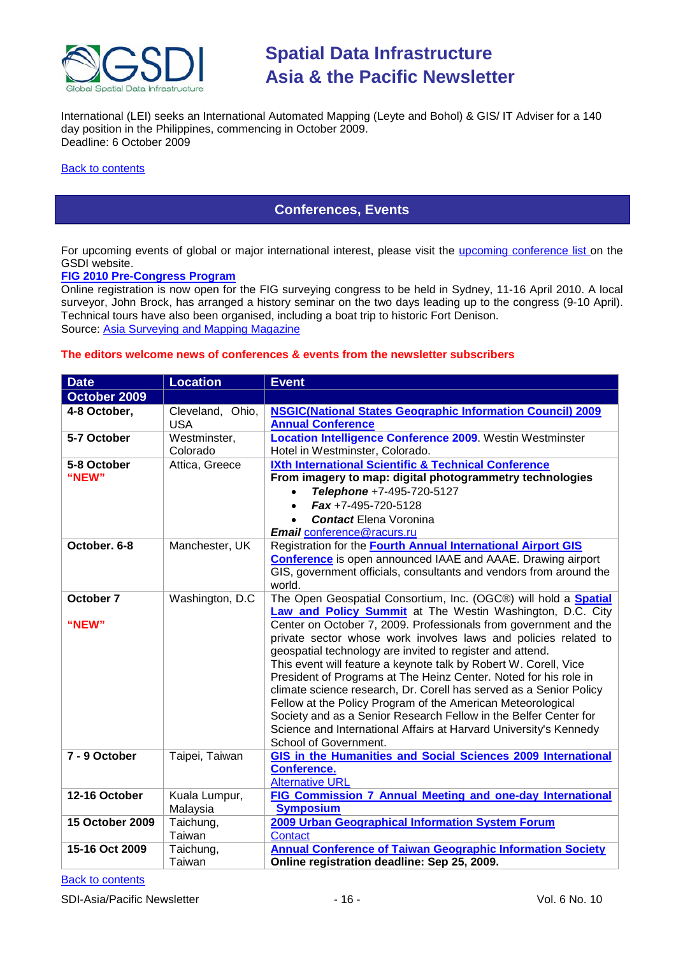

International (LEI) seeks an International Automated Mapping (Leyte and Bohol) & GIS/ IT Adviser for a 140 day position in the Philippines, commencing in October 2009. Deadline: 6 October 2009

#### <span id="page-15-0"></span>**[Back to contents](#page-0-0)**

# **Conferences, Events**

For upcoming events of global or major international interest, please visit the [upcoming conference list o](http://gsdi.org/events/upcnf.asp)n the GSDI website.

#### **[FIG 2010 Pre-Congress Program](http://www.asmmag.com/news/fig-2010-pre-congress-program)**

Online registration is now open for the FIG surveying congress to be held in Sydney, 11-16 April 2010. A local surveyor, John Brock, has arranged a history seminar on the two days leading up to the congress (9-10 April). Technical tours have also been organised, including a boat trip to historic Fort Denison. Source: [Asia Surveying and Mapping Magazine](http://www.asmmag.com/news/fig-2010-pre-congress-program)

# **The editors welcome news of conferences & events from the newsletter subscribers**

| <b>Date</b>            | <b>Location</b>  | <b>Event</b>                                                                                                                  |
|------------------------|------------------|-------------------------------------------------------------------------------------------------------------------------------|
| October 2009           |                  |                                                                                                                               |
| 4-8 October,           | Cleveland, Ohio, | <b>NSGIC(National States Geographic Information Council) 2009</b>                                                             |
|                        | <b>USA</b>       | <b>Annual Conference</b>                                                                                                      |
| 5-7 October            | Westminster,     | Location Intelligence Conference 2009. Westin Westminster                                                                     |
|                        | Colorado         | Hotel in Westminster, Colorado.                                                                                               |
| 5-8 October            | Attica, Greece   | IXth International Scientific & Technical Conference                                                                          |
| "NEW"                  |                  | From imagery to map: digital photogrammetry technologies                                                                      |
|                        |                  | Telephone +7-495-720-5127                                                                                                     |
|                        |                  | $Fax + 7-495-720-5128$<br>$\bullet$                                                                                           |
|                        |                  | <b>Contact Elena Voronina</b>                                                                                                 |
|                        |                  | <b>Email conference@racurs.ru</b>                                                                                             |
| October, 6-8           | Manchester, UK   | Registration for the <b>Fourth Annual International Airport GIS</b>                                                           |
|                        |                  | <b>Conference</b> is open announced IAAE and AAAE. Drawing airport                                                            |
|                        |                  | GIS, government officials, consultants and vendors from around the                                                            |
|                        |                  | world.                                                                                                                        |
| October 7              | Washington, D.C. | The Open Geospatial Consortium, Inc. (OGC®) will hold a Spatial                                                               |
| "NEW"                  |                  | Law and Policy Summit at The Westin Washington, D.C. City<br>Center on October 7, 2009. Professionals from government and the |
|                        |                  | private sector whose work involves laws and policies related to                                                               |
|                        |                  | geospatial technology are invited to register and attend.                                                                     |
|                        |                  | This event will feature a keynote talk by Robert W. Corell, Vice                                                              |
|                        |                  | President of Programs at The Heinz Center. Noted for his role in                                                              |
|                        |                  | climate science research, Dr. Corell has served as a Senior Policy                                                            |
|                        |                  | Fellow at the Policy Program of the American Meteorological                                                                   |
|                        |                  | Society and as a Senior Research Fellow in the Belfer Center for                                                              |
|                        |                  | Science and International Affairs at Harvard University's Kennedy                                                             |
|                        |                  | School of Government.                                                                                                         |
| 7 - 9 October          | Taipei, Taiwan   | <b>GIS in the Humanities and Social Sciences 2009 International</b>                                                           |
|                        |                  | <b>Conference.</b>                                                                                                            |
|                        |                  | <b>Alternative URL</b>                                                                                                        |
| 12-16 October          | Kuala Lumpur,    | FIG Commission 7 Annual Meeting and one-day International                                                                     |
|                        | Malaysia         | <b>Symposium</b>                                                                                                              |
| <b>15 October 2009</b> | Taichung,        | 2009 Urban Geographical Information System Forum                                                                              |
|                        | Taiwan           | <b>Contact</b>                                                                                                                |
| 15-16 Oct 2009         | Taichung,        | <b>Annual Conference of Taiwan Geographic Information Society</b>                                                             |
|                        | Taiwan           | Online registration deadline: Sep 25, 2009.                                                                                   |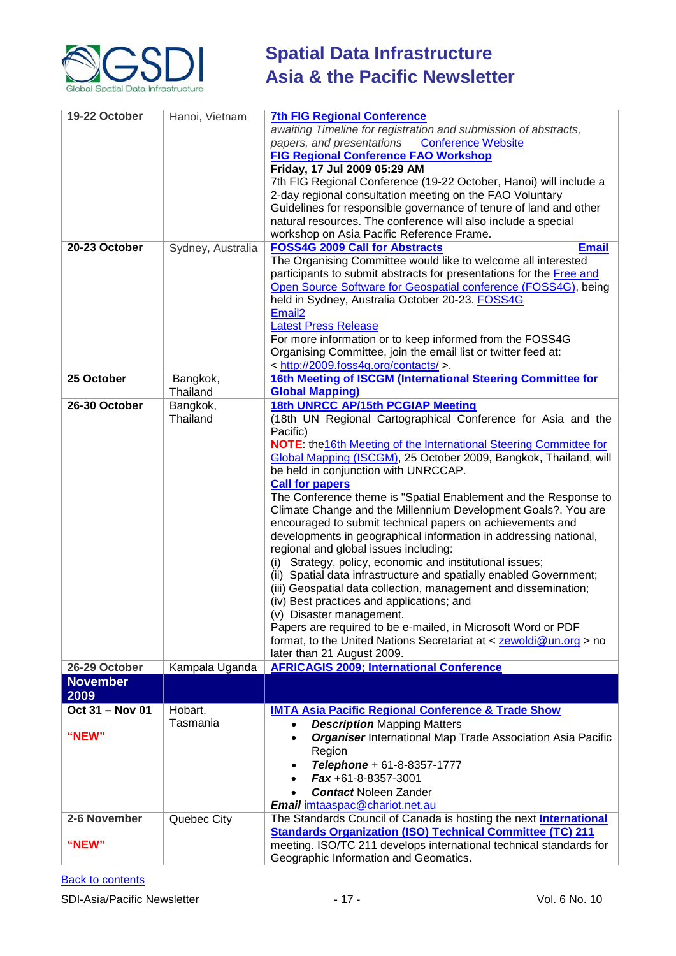

| 19-22 October           | Hanoi, Vietnam       | <b>7th FIG Regional Conference</b><br>awaiting Timeline for registration and submission of abstracts,<br>papers, and presentations<br><b>Conference Website</b><br><b>FIG Regional Conference FAO Workshop</b><br>Friday, 17 Jul 2009 05:29 AM<br>7th FIG Regional Conference (19-22 October, Hanoi) will include a<br>2-day regional consultation meeting on the FAO Voluntary<br>Guidelines for responsible governance of tenure of land and other<br>natural resources. The conference will also include a special<br>workshop on Asia Pacific Reference Frame.                                                                                                                                                                                                                                                                                                                                                                                                                                                                                                                                   |
|-------------------------|----------------------|------------------------------------------------------------------------------------------------------------------------------------------------------------------------------------------------------------------------------------------------------------------------------------------------------------------------------------------------------------------------------------------------------------------------------------------------------------------------------------------------------------------------------------------------------------------------------------------------------------------------------------------------------------------------------------------------------------------------------------------------------------------------------------------------------------------------------------------------------------------------------------------------------------------------------------------------------------------------------------------------------------------------------------------------------------------------------------------------------|
| 20-23 October           | Sydney, Australia    | <b>FOSS4G 2009 Call for Abstracts</b><br><b>Email</b><br>The Organising Committee would like to welcome all interested<br>participants to submit abstracts for presentations for the Free and<br>Open Source Software for Geospatial conference (FOSS4G), being<br>held in Sydney, Australia October 20-23. FOSS4G<br>Email <sub>2</sub><br><b>Latest Press Release</b><br>For more information or to keep informed from the FOSS4G<br>Organising Committee, join the email list or twitter feed at:<br>< http://2009.foss4g.org/contacts/ >.                                                                                                                                                                                                                                                                                                                                                                                                                                                                                                                                                        |
| 25 October              | Bangkok,<br>Thailand | 16th Meeting of ISCGM (International Steering Committee for<br><b>Global Mapping)</b>                                                                                                                                                                                                                                                                                                                                                                                                                                                                                                                                                                                                                                                                                                                                                                                                                                                                                                                                                                                                                |
| 26-30 October           | Bangkok,<br>Thailand | 18th UNRCC AP/15th PCGIAP Meeting<br>(18th UN Regional Cartographical Conference for Asia and the<br>Pacific)<br><b>NOTE:</b> the 16th Meeting of the International Steering Committee for<br>Global Mapping (ISCGM), 25 October 2009, Bangkok, Thailand, will<br>be held in conjunction with UNRCCAP.<br><b>Call for papers</b><br>The Conference theme is "Spatial Enablement and the Response to<br>Climate Change and the Millennium Development Goals?. You are<br>encouraged to submit technical papers on achievements and<br>developments in geographical information in addressing national,<br>regional and global issues including:<br>(i) Strategy, policy, economic and institutional issues;<br>(ii) Spatial data infrastructure and spatially enabled Government;<br>(iii) Geospatial data collection, management and dissemination;<br>(iv) Best practices and applications; and<br>(v) Disaster management.<br>Papers are required to be e-mailed, in Microsoft Word or PDF<br>format, to the United Nations Secretariat at $\lt$ zewoldi@un.org > no<br>later than 21 August 2009. |
| 26-29 October           | Kampala Uganda       | <b>AFRICAGIS 2009; International Conference</b>                                                                                                                                                                                                                                                                                                                                                                                                                                                                                                                                                                                                                                                                                                                                                                                                                                                                                                                                                                                                                                                      |
| <b>November</b><br>2009 |                      |                                                                                                                                                                                                                                                                                                                                                                                                                                                                                                                                                                                                                                                                                                                                                                                                                                                                                                                                                                                                                                                                                                      |
| Oct 31 - Nov 01         | Hobart,              | <b>IMTA Asia Pacific Regional Conference &amp; Trade Show</b>                                                                                                                                                                                                                                                                                                                                                                                                                                                                                                                                                                                                                                                                                                                                                                                                                                                                                                                                                                                                                                        |
|                         | Tasmania             | <b>Description Mapping Matters</b>                                                                                                                                                                                                                                                                                                                                                                                                                                                                                                                                                                                                                                                                                                                                                                                                                                                                                                                                                                                                                                                                   |
| "NEW"                   |                      | <b>Organiser International Map Trade Association Asia Pacific</b><br>Region<br>Telephone + 61-8-8357-1777<br>Fax +61-8-8357-3001<br>$\bullet$<br><b>Contact Noleen Zander</b><br>Email imtaaspac@chariot.net.au                                                                                                                                                                                                                                                                                                                                                                                                                                                                                                                                                                                                                                                                                                                                                                                                                                                                                      |
| 2-6 November            | Quebec City          | The Standards Council of Canada is hosting the next <b>International</b>                                                                                                                                                                                                                                                                                                                                                                                                                                                                                                                                                                                                                                                                                                                                                                                                                                                                                                                                                                                                                             |
| "NEW"                   |                      | <b>Standards Organization (ISO) Technical Committee (TC) 211</b><br>meeting. ISO/TC 211 develops international technical standards for<br>Geographic Information and Geomatics.                                                                                                                                                                                                                                                                                                                                                                                                                                                                                                                                                                                                                                                                                                                                                                                                                                                                                                                      |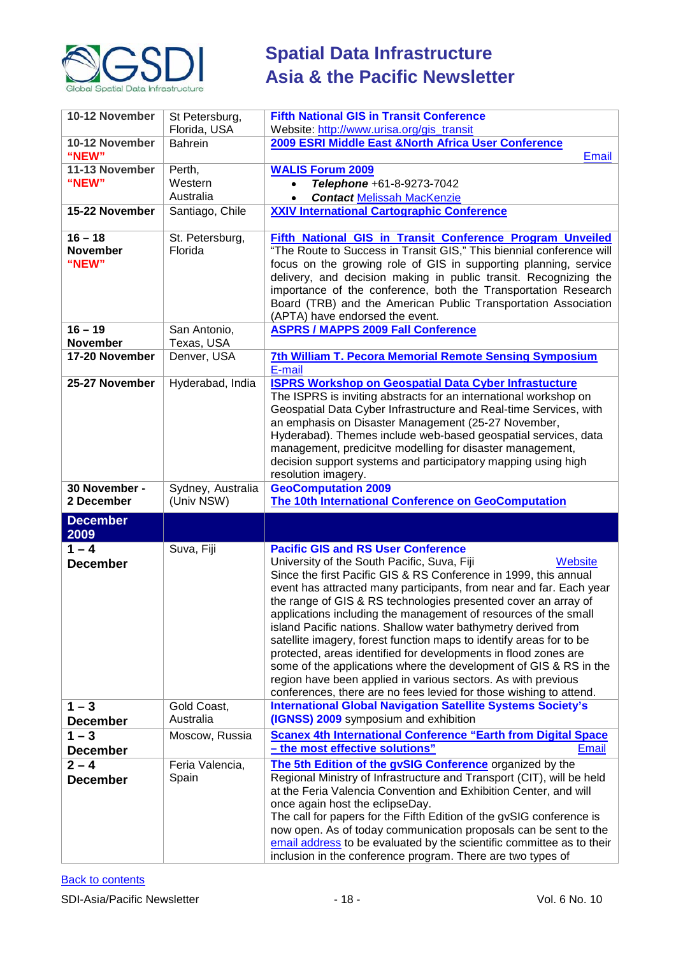

| 10-12 November                        | St Petersburg,<br>Florida, USA  | <b>Fifth National GIS in Transit Conference</b><br>Website: http://www.urisa.org/gis_transit                                                                                                                                                                                                                                                                                                                                                                                                                                                                                                                                                                                                                                                                                                               |
|---------------------------------------|---------------------------------|------------------------------------------------------------------------------------------------------------------------------------------------------------------------------------------------------------------------------------------------------------------------------------------------------------------------------------------------------------------------------------------------------------------------------------------------------------------------------------------------------------------------------------------------------------------------------------------------------------------------------------------------------------------------------------------------------------------------------------------------------------------------------------------------------------|
| 10-12 November                        | Bahrein                         | 2009 ESRI Middle East & North Africa User Conference                                                                                                                                                                                                                                                                                                                                                                                                                                                                                                                                                                                                                                                                                                                                                       |
| "NEW"                                 |                                 | Email                                                                                                                                                                                                                                                                                                                                                                                                                                                                                                                                                                                                                                                                                                                                                                                                      |
| 11-13 November                        | Perth,                          | <b>WALIS Forum 2009</b>                                                                                                                                                                                                                                                                                                                                                                                                                                                                                                                                                                                                                                                                                                                                                                                    |
| "NEW"                                 | Western                         | Telephone +61-8-9273-7042<br>$\bullet$                                                                                                                                                                                                                                                                                                                                                                                                                                                                                                                                                                                                                                                                                                                                                                     |
|                                       | Australia                       | <b>Contact Melissah MacKenzie</b><br>$\bullet$                                                                                                                                                                                                                                                                                                                                                                                                                                                                                                                                                                                                                                                                                                                                                             |
| 15-22 November                        | Santiago, Chile                 | <b>XXIV International Cartographic Conference</b>                                                                                                                                                                                                                                                                                                                                                                                                                                                                                                                                                                                                                                                                                                                                                          |
| $16 - 18$<br><b>November</b><br>"NEW" | St. Petersburg,<br>Florida      | Fifth National GIS in Transit Conference Program Unveiled<br>"The Route to Success in Transit GIS," This biennial conference will<br>focus on the growing role of GIS in supporting planning, service<br>delivery, and decision making in public transit. Recognizing the<br>importance of the conference, both the Transportation Research<br>Board (TRB) and the American Public Transportation Association<br>(APTA) have endorsed the event.                                                                                                                                                                                                                                                                                                                                                           |
| $16 - 19$<br><b>November</b>          | San Antonio,<br>Texas, USA      | <b>ASPRS / MAPPS 2009 Fall Conference</b>                                                                                                                                                                                                                                                                                                                                                                                                                                                                                                                                                                                                                                                                                                                                                                  |
| 17-20 November                        | Denver, USA                     | <b>7th William T. Pecora Memorial Remote Sensing Symposium</b><br>E-mail                                                                                                                                                                                                                                                                                                                                                                                                                                                                                                                                                                                                                                                                                                                                   |
| 25-27 November                        | Hyderabad, India                | <b>ISPRS Workshop on Geospatial Data Cyber Infrastucture</b><br>The ISPRS is inviting abstracts for an international workshop on<br>Geospatial Data Cyber Infrastructure and Real-time Services, with<br>an emphasis on Disaster Management (25-27 November,<br>Hyderabad). Themes include web-based geospatial services, data<br>management, predicitve modelling for disaster management,<br>decision support systems and participatory mapping using high<br>resolution imagery.                                                                                                                                                                                                                                                                                                                        |
| 30 November -<br>2 December           | Sydney, Australia<br>(Univ NSW) | <b>GeoComputation 2009</b><br>The 10th International Conference on GeoComputation                                                                                                                                                                                                                                                                                                                                                                                                                                                                                                                                                                                                                                                                                                                          |
| <b>December</b><br>2009               |                                 |                                                                                                                                                                                                                                                                                                                                                                                                                                                                                                                                                                                                                                                                                                                                                                                                            |
| $1 - 4$<br><b>December</b>            | Suva, Fiji                      | <b>Pacific GIS and RS User Conference</b><br>University of the South Pacific, Suva, Fiji<br>Website<br>Since the first Pacific GIS & RS Conference in 1999, this annual<br>event has attracted many participants, from near and far. Each year<br>the range of GIS & RS technologies presented cover an array of<br>applications including the management of resources of the small<br>island Pacific nations. Shallow water bathymetry derived from<br>satellite imagery, forest function maps to identify areas for to be<br>protected, areas identified for developments in flood zones are<br>some of the applications where the development of GIS & RS in the<br>region have been applied in various sectors. As with previous<br>conferences, there are no fees levied for those wishing to attend. |
| $1 - 3$<br><b>December</b>            | Gold Coast,<br>Australia        | <b>International Global Navigation Satellite Systems Society's</b><br>(IGNSS) 2009 symposium and exhibition                                                                                                                                                                                                                                                                                                                                                                                                                                                                                                                                                                                                                                                                                                |
| $1 - 3$                               | Moscow, Russia                  | <b>Scanex 4th International Conference "Earth from Digital Space</b>                                                                                                                                                                                                                                                                                                                                                                                                                                                                                                                                                                                                                                                                                                                                       |
| <b>December</b>                       |                                 | - the most effective solutions"<br><b>Email</b>                                                                                                                                                                                                                                                                                                                                                                                                                                                                                                                                                                                                                                                                                                                                                            |
| $2 - 4$<br><b>December</b>            | Feria Valencia,<br>Spain        | The 5th Edition of the gvSIG Conference organized by the<br>Regional Ministry of Infrastructure and Transport (CIT), will be held<br>at the Feria Valencia Convention and Exhibition Center, and will<br>once again host the eclipseDay.<br>The call for papers for the Fifth Edition of the gvSIG conference is<br>now open. As of today communication proposals can be sent to the<br>email address to be evaluated by the scientific committee as to their<br>inclusion in the conference program. There are two types of                                                                                                                                                                                                                                                                               |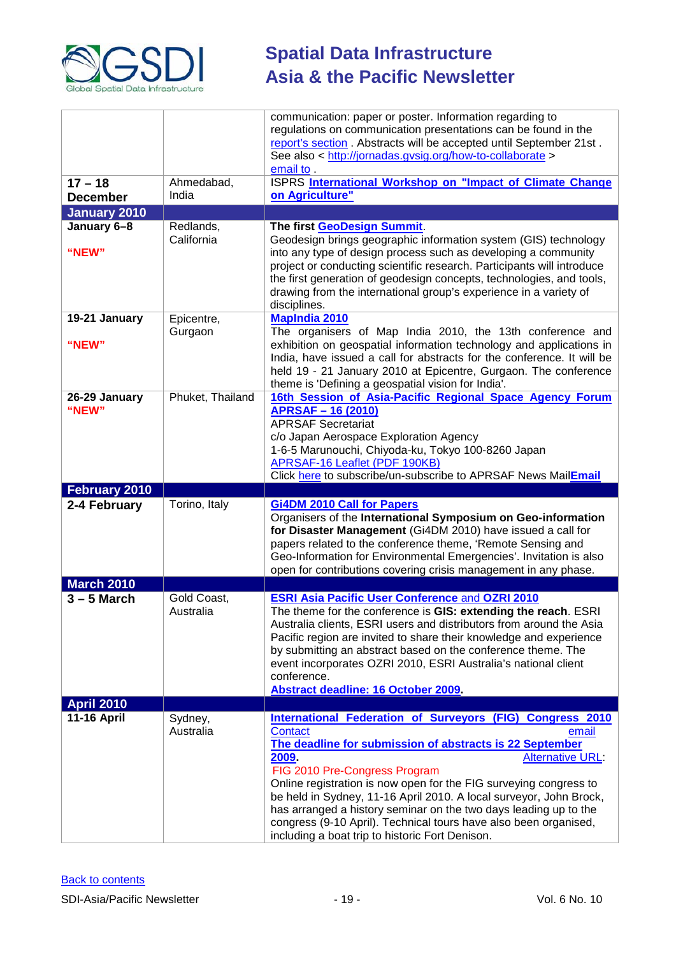

|                              |                          | communication: paper or poster. Information regarding to<br>regulations on communication presentations can be found in the<br>report's section. Abstracts will be accepted until September 21st.<br>See also < http://jornadas.gvsig.org/how-to-collaborate ><br>email to .                                                                                                                                                                                                                                                                                 |
|------------------------------|--------------------------|-------------------------------------------------------------------------------------------------------------------------------------------------------------------------------------------------------------------------------------------------------------------------------------------------------------------------------------------------------------------------------------------------------------------------------------------------------------------------------------------------------------------------------------------------------------|
| $17 - 18$<br><b>December</b> | Ahmedabad,<br>India      | ISPRS International Workshop on "Impact of Climate Change<br>on Agriculture"                                                                                                                                                                                                                                                                                                                                                                                                                                                                                |
| <b>January 2010</b>          |                          |                                                                                                                                                                                                                                                                                                                                                                                                                                                                                                                                                             |
| January 6-8                  | Redlands,                | The first GeoDesign Summit.                                                                                                                                                                                                                                                                                                                                                                                                                                                                                                                                 |
| "NEW"                        | California               | Geodesign brings geographic information system (GIS) technology<br>into any type of design process such as developing a community<br>project or conducting scientific research. Participants will introduce<br>the first generation of geodesign concepts, technologies, and tools,<br>drawing from the international group's experience in a variety of<br>disciplines.                                                                                                                                                                                    |
| 19-21 January                | Epicentre,               | <b>MapIndia 2010</b>                                                                                                                                                                                                                                                                                                                                                                                                                                                                                                                                        |
| "NEW"                        | Gurgaon                  | The organisers of Map India 2010, the 13th conference and<br>exhibition on geospatial information technology and applications in<br>India, have issued a call for abstracts for the conference. It will be<br>held 19 - 21 January 2010 at Epicentre, Gurgaon. The conference<br>theme is 'Defining a geospatial vision for India'.                                                                                                                                                                                                                         |
| 26-29 January<br>"NEW"       | Phuket, Thailand         | 16th Session of Asia-Pacific Regional Space Agency Forum<br><b>APRSAF-16 (2010)</b><br><b>APRSAF Secretariat</b><br>c/o Japan Aerospace Exploration Agency<br>1-6-5 Marunouchi, Chiyoda-ku, Tokyo 100-8260 Japan<br><b>APRSAF-16 Leaflet (PDF 190KB)</b><br>Click here to subscribe/un-subscribe to APRSAF News MailEmail                                                                                                                                                                                                                                   |
| February 2010                |                          |                                                                                                                                                                                                                                                                                                                                                                                                                                                                                                                                                             |
| 2-4 February                 | Torino, Italy            | <b>Gi4DM 2010 Call for Papers</b><br>Organisers of the International Symposium on Geo-information<br>for Disaster Management (Gi4DM 2010) have issued a call for<br>papers related to the conference theme, 'Remote Sensing and<br>Geo-Information for Environmental Emergencies'. Invitation is also<br>open for contributions covering crisis management in any phase.                                                                                                                                                                                    |
| <b>March 2010</b>            |                          |                                                                                                                                                                                                                                                                                                                                                                                                                                                                                                                                                             |
| $3 - 5$ March                | Gold Coast,<br>Australia | <b>ESRI Asia Pacific User Conference and OZRI 2010</b><br>The theme for the conference is GIS: extending the reach. ESRI<br>Australia clients, ESRI users and distributors from around the Asia<br>Pacific region are invited to share their knowledge and experience<br>by submitting an abstract based on the conference theme. The<br>event incorporates OZRI 2010, ESRI Australia's national client<br>conference.<br>Abstract deadline: 16 October 2009.                                                                                               |
| <b>April 2010</b>            |                          |                                                                                                                                                                                                                                                                                                                                                                                                                                                                                                                                                             |
| <b>11-16 April</b>           | Sydney,<br>Australia     | International Federation of Surveyors (FIG) Congress 2010<br><b>Contact</b><br>email<br>The deadline for submission of abstracts is 22 September<br>2009.<br><b>Alternative URL:</b><br>FIG 2010 Pre-Congress Program<br>Online registration is now open for the FIG surveying congress to<br>be held in Sydney, 11-16 April 2010. A local surveyor, John Brock,<br>has arranged a history seminar on the two days leading up to the<br>congress (9-10 April). Technical tours have also been organised,<br>including a boat trip to historic Fort Denison. |